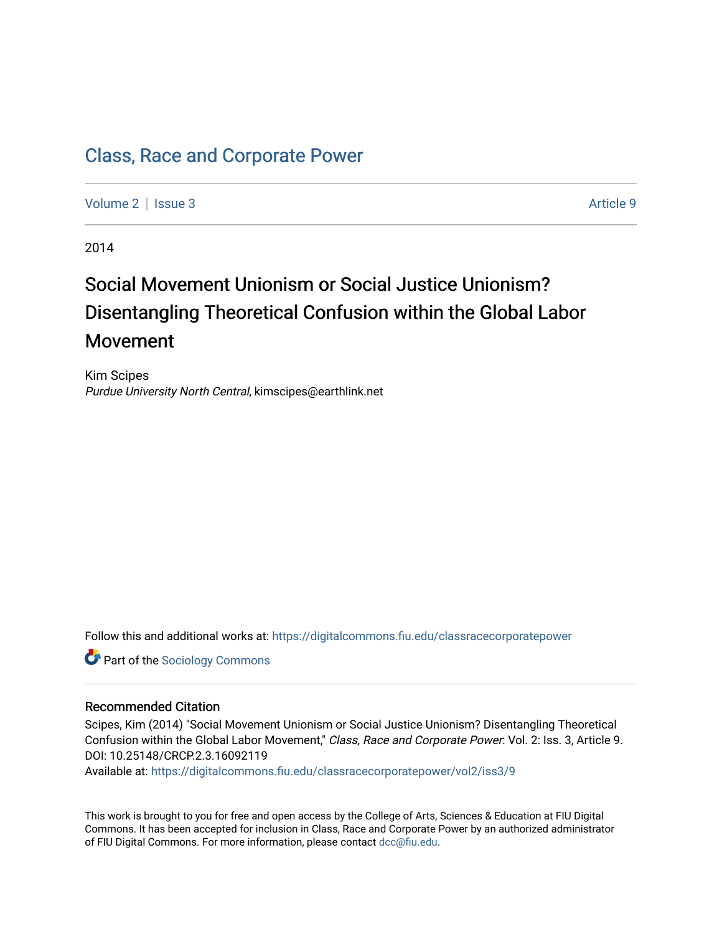# [Class, Race and Corporate Power](https://digitalcommons.fiu.edu/classracecorporatepower)

[Volume 2](https://digitalcommons.fiu.edu/classracecorporatepower/vol2) | [Issue 3](https://digitalcommons.fiu.edu/classracecorporatepower/vol2/iss3) Article 9

2014

# Social Movement Unionism or Social Justice Unionism? Disentangling Theoretical Confusion within the Global Labor Movement

Kim Scipes Purdue University North Central, kimscipes@earthlink.net

Follow this and additional works at: [https://digitalcommons.fiu.edu/classracecorporatepower](https://digitalcommons.fiu.edu/classracecorporatepower?utm_source=digitalcommons.fiu.edu%2Fclassracecorporatepower%2Fvol2%2Fiss3%2F9&utm_medium=PDF&utm_campaign=PDFCoverPages)

**Part of the [Sociology Commons](http://network.bepress.com/hgg/discipline/416?utm_source=digitalcommons.fiu.edu%2Fclassracecorporatepower%2Fvol2%2Fiss3%2F9&utm_medium=PDF&utm_campaign=PDFCoverPages)** 

#### Recommended Citation

Scipes, Kim (2014) "Social Movement Unionism or Social Justice Unionism? Disentangling Theoretical Confusion within the Global Labor Movement," Class, Race and Corporate Power: Vol. 2: Iss. 3, Article 9. DOI: 10.25148/CRCP.2.3.16092119

Available at: [https://digitalcommons.fiu.edu/classracecorporatepower/vol2/iss3/9](https://digitalcommons.fiu.edu/classracecorporatepower/vol2/iss3/9?utm_source=digitalcommons.fiu.edu%2Fclassracecorporatepower%2Fvol2%2Fiss3%2F9&utm_medium=PDF&utm_campaign=PDFCoverPages)

This work is brought to you for free and open access by the College of Arts, Sciences & Education at FIU Digital Commons. It has been accepted for inclusion in Class, Race and Corporate Power by an authorized administrator of FIU Digital Commons. For more information, please contact [dcc@fiu.edu](mailto:dcc@fiu.edu).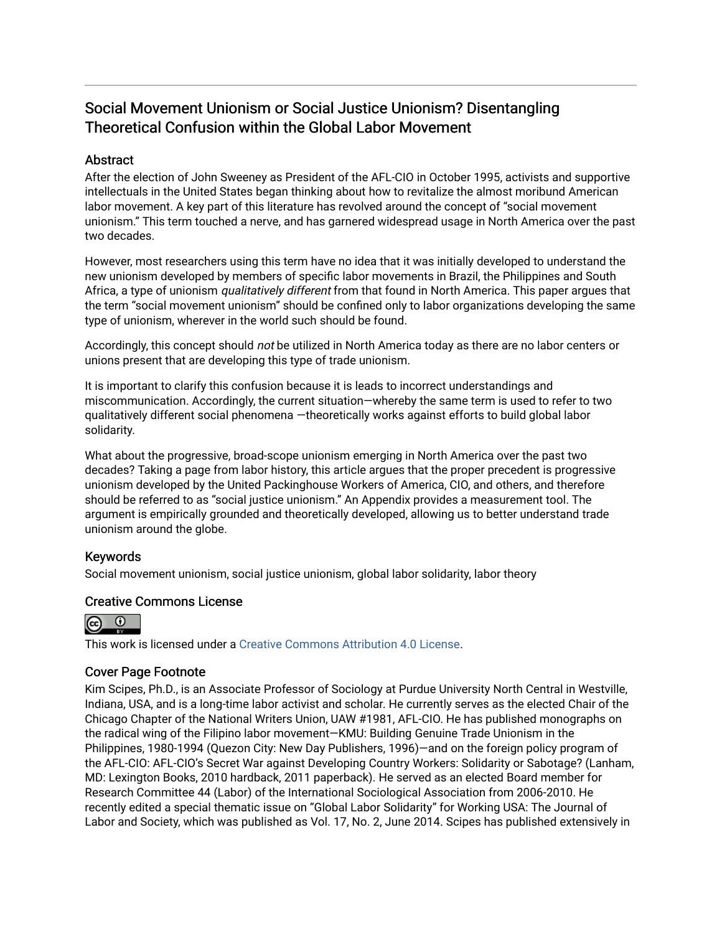# Social Movement Unionism or Social Justice Unionism? Disentangling Theoretical Confusion within the Global Labor Movement

# **Abstract**

After the election of John Sweeney as President of the AFL-CIO in October 1995, activists and supportive intellectuals in the United States began thinking about how to revitalize the almost moribund American labor movement. A key part of this literature has revolved around the concept of "social movement unionism." This term touched a nerve, and has garnered widespread usage in North America over the past two decades.

However, most researchers using this term have no idea that it was initially developed to understand the new unionism developed by members of specific labor movements in Brazil, the Philippines and South Africa, a type of unionism *qualitatively different* from that found in North America. This paper argues that the term "social movement unionism" should be confined only to labor organizations developing the same type of unionism, wherever in the world such should be found.

Accordingly, this concept should not be utilized in North America today as there are no labor centers or unions present that are developing this type of trade unionism.

It is important to clarify this confusion because it is leads to incorrect understandings and miscommunication. Accordingly, the current situation—whereby the same term is used to refer to two qualitatively different social phenomena —theoretically works against efforts to build global labor solidarity.

What about the progressive, broad-scope unionism emerging in North America over the past two decades? Taking a page from labor history, this article argues that the proper precedent is progressive unionism developed by the United Packinghouse Workers of America, CIO, and others, and therefore should be referred to as "social justice unionism." An Appendix provides a measurement tool. The argument is empirically grounded and theoretically developed, allowing us to better understand trade unionism around the globe.

# Keywords

Social movement unionism, social justice unionism, global labor solidarity, labor theory

# Creative Commons License



This work is licensed under a [Creative Commons Attribution 4.0 License](http://creativecommons.org/licenses/by/4.0/).

# Cover Page Footnote

Kim Scipes, Ph.D., is an Associate Professor of Sociology at Purdue University North Central in Westville, Indiana, USA, and is a long-time labor activist and scholar. He currently serves as the elected Chair of the Chicago Chapter of the National Writers Union, UAW #1981, AFL-CIO. He has published monographs on the radical wing of the Filipino labor movement—KMU: Building Genuine Trade Unionism in the Philippines, 1980-1994 (Quezon City: New Day Publishers, 1996)—and on the foreign policy program of the AFL-CIO: AFL-CIO's Secret War against Developing Country Workers: Solidarity or Sabotage? (Lanham, MD: Lexington Books, 2010 hardback, 2011 paperback). He served as an elected Board member for Research Committee 44 (Labor) of the International Sociological Association from 2006-2010. He recently edited a special thematic issue on "Global Labor Solidarity" for Working USA: The Journal of Labor and Society, which was published as Vol. 17, No. 2, June 2014. Scipes has published extensively in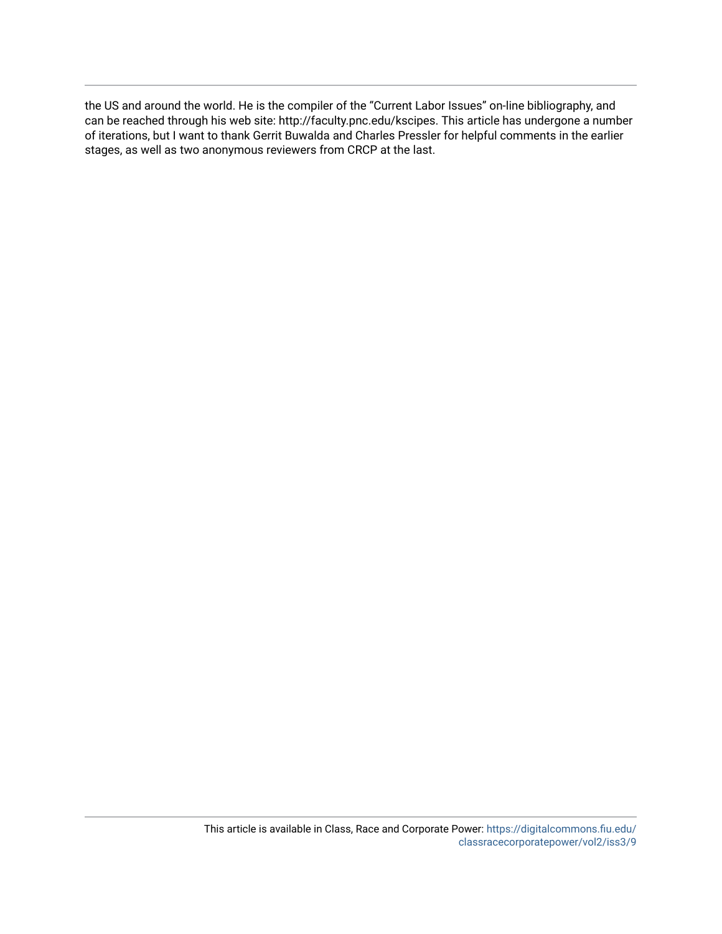the US and around the world. He is the compiler of the "Current Labor Issues" on-line bibliography, and can be reached through his web site: http://faculty.pnc.edu/kscipes. This article has undergone a number of iterations, but I want to thank Gerrit Buwalda and Charles Pressler for helpful comments in the earlier stages, as well as two anonymous reviewers from CRCP at the last.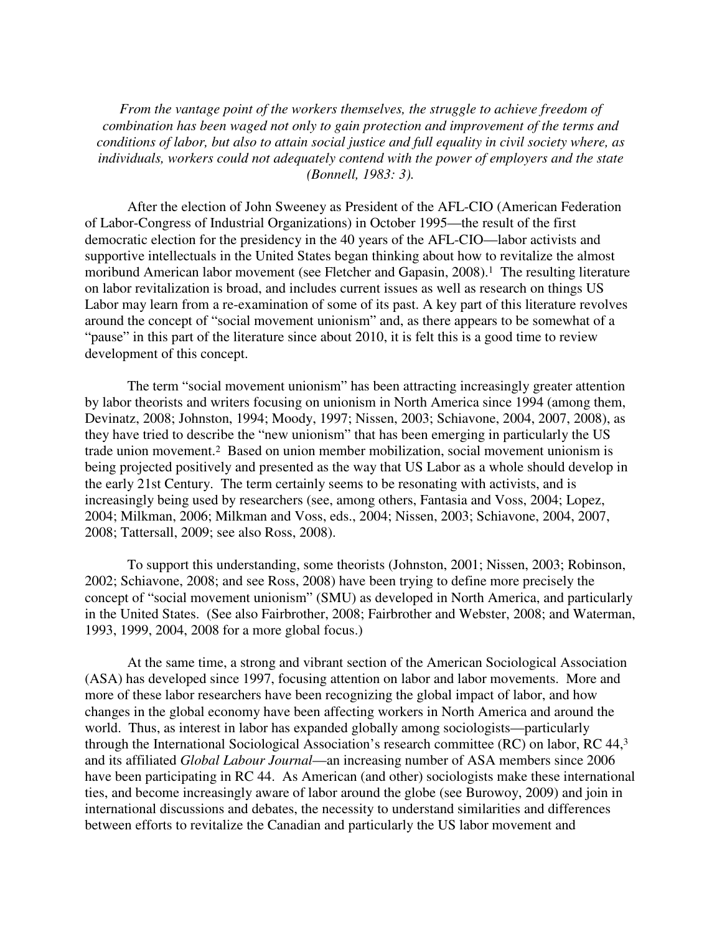*From the vantage point of the workers themselves, the struggle to achieve freedom of combination has been waged not only to gain protection and improvement of the terms and conditions of labor, but also to attain social justice and full equality in civil society where, as individuals, workers could not adequately contend with the power of employers and the state (Bonnell, 1983: 3).* 

After the election of John Sweeney as President of the AFL-CIO (American Federation of Labor-Congress of Industrial Organizations) in October 1995—the result of the first democratic election for the presidency in the 40 years of the AFL-CIO—labor activists and supportive intellectuals in the United States began thinking about how to revitalize the almost moribund American labor movement (see Fletcher and Gapasin, 2008).<sup>1</sup> The resulting literature on labor revitalization is broad, and includes current issues as well as research on things US Labor may learn from a re-examination of some of its past. A key part of this literature revolves around the concept of "social movement unionism" and, as there appears to be somewhat of a "pause" in this part of the literature since about 2010, it is felt this is a good time to review development of this concept.

The term "social movement unionism" has been attracting increasingly greater attention by labor theorists and writers focusing on unionism in North America since 1994 (among them, Devinatz, 2008; Johnston, 1994; Moody, 1997; Nissen, 2003; Schiavone, 2004, 2007, 2008), as they have tried to describe the "new unionism" that has been emerging in particularly the US trade union movement.2 Based on union member mobilization, social movement unionism is being projected positively and presented as the way that US Labor as a whole should develop in the early 21st Century. The term certainly seems to be resonating with activists, and is increasingly being used by researchers (see, among others, Fantasia and Voss, 2004; Lopez, 2004; Milkman, 2006; Milkman and Voss, eds., 2004; Nissen, 2003; Schiavone, 2004, 2007, 2008; Tattersall, 2009; see also Ross, 2008).

To support this understanding, some theorists (Johnston, 2001; Nissen, 2003; Robinson, 2002; Schiavone, 2008; and see Ross, 2008) have been trying to define more precisely the concept of "social movement unionism" (SMU) as developed in North America, and particularly in the United States. (See also Fairbrother, 2008; Fairbrother and Webster, 2008; and Waterman, 1993, 1999, 2004, 2008 for a more global focus.)

At the same time, a strong and vibrant section of the American Sociological Association (ASA) has developed since 1997, focusing attention on labor and labor movements. More and more of these labor researchers have been recognizing the global impact of labor, and how changes in the global economy have been affecting workers in North America and around the world. Thus, as interest in labor has expanded globally among sociologists—particularly through the International Sociological Association's research committee (RC) on labor, RC 44,<sup>3</sup> and its affiliated *Global Labour Journal*—an increasing number of ASA members since 2006 have been participating in RC 44. As American (and other) sociologists make these international ties, and become increasingly aware of labor around the globe (see Burowoy, 2009) and join in international discussions and debates, the necessity to understand similarities and differences between efforts to revitalize the Canadian and particularly the US labor movement and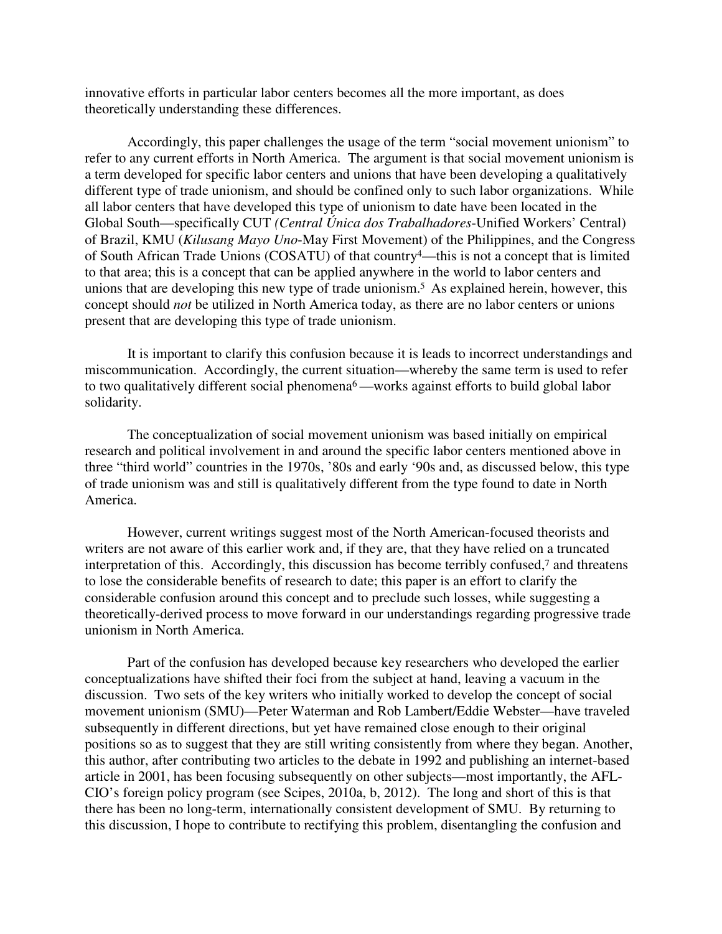innovative efforts in particular labor centers becomes all the more important, as does theoretically understanding these differences.

Accordingly, this paper challenges the usage of the term "social movement unionism" to refer to any current efforts in North America. The argument is that social movement unionism is a term developed for specific labor centers and unions that have been developing a qualitatively different type of trade unionism, and should be confined only to such labor organizations. While all labor centers that have developed this type of unionism to date have been located in the Global South—specifically CUT *(Central Única dos Trabalhadores*-Unified Workers' Central) of Brazil, KMU (*Kilusang Mayo Uno*-May First Movement) of the Philippines, and the Congress of South African Trade Unions (COSATU) of that country4—this is not a concept that is limited to that area; this is a concept that can be applied anywhere in the world to labor centers and unions that are developing this new type of trade unionism.5 As explained herein, however, this concept should *not* be utilized in North America today, as there are no labor centers or unions present that are developing this type of trade unionism.

It is important to clarify this confusion because it is leads to incorrect understandings and miscommunication. Accordingly, the current situation—whereby the same term is used to refer to two qualitatively different social phenomena<sup>6</sup> —works against efforts to build global labor solidarity.

The conceptualization of social movement unionism was based initially on empirical research and political involvement in and around the specific labor centers mentioned above in three "third world" countries in the 1970s, '80s and early '90s and, as discussed below, this type of trade unionism was and still is qualitatively different from the type found to date in North America.

However, current writings suggest most of the North American-focused theorists and writers are not aware of this earlier work and, if they are, that they have relied on a truncated interpretation of this. Accordingly, this discussion has become terribly confused,7 and threatens to lose the considerable benefits of research to date; this paper is an effort to clarify the considerable confusion around this concept and to preclude such losses, while suggesting a theoretically-derived process to move forward in our understandings regarding progressive trade unionism in North America.

Part of the confusion has developed because key researchers who developed the earlier conceptualizations have shifted their foci from the subject at hand, leaving a vacuum in the discussion. Two sets of the key writers who initially worked to develop the concept of social movement unionism (SMU)—Peter Waterman and Rob Lambert/Eddie Webster—have traveled subsequently in different directions, but yet have remained close enough to their original positions so as to suggest that they are still writing consistently from where they began. Another, this author, after contributing two articles to the debate in 1992 and publishing an internet-based article in 2001, has been focusing subsequently on other subjects—most importantly, the AFL-CIO's foreign policy program (see Scipes, 2010a, b, 2012). The long and short of this is that there has been no long-term, internationally consistent development of SMU. By returning to this discussion, I hope to contribute to rectifying this problem, disentangling the confusion and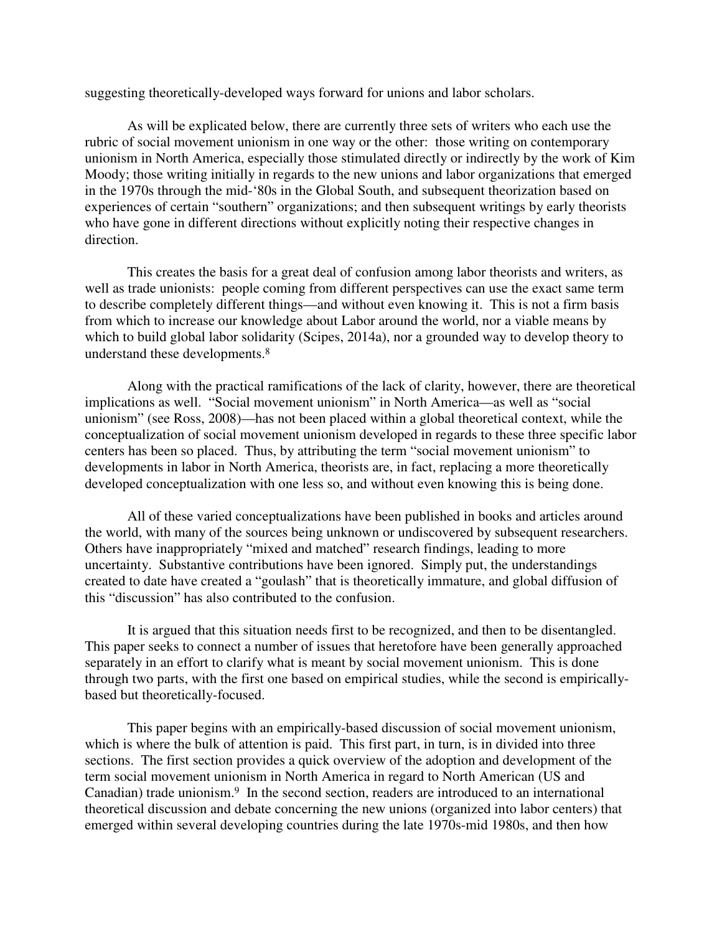suggesting theoretically-developed ways forward for unions and labor scholars.

As will be explicated below, there are currently three sets of writers who each use the rubric of social movement unionism in one way or the other: those writing on contemporary unionism in North America, especially those stimulated directly or indirectly by the work of Kim Moody; those writing initially in regards to the new unions and labor organizations that emerged in the 1970s through the mid-'80s in the Global South, and subsequent theorization based on experiences of certain "southern" organizations; and then subsequent writings by early theorists who have gone in different directions without explicitly noting their respective changes in direction.

This creates the basis for a great deal of confusion among labor theorists and writers, as well as trade unionists: people coming from different perspectives can use the exact same term to describe completely different things—and without even knowing it. This is not a firm basis from which to increase our knowledge about Labor around the world, nor a viable means by which to build global labor solidarity (Scipes, 2014a), nor a grounded way to develop theory to understand these developments.<sup>8</sup>

Along with the practical ramifications of the lack of clarity, however, there are theoretical implications as well. "Social movement unionism" in North America—as well as "social unionism" (see Ross, 2008)—has not been placed within a global theoretical context, while the conceptualization of social movement unionism developed in regards to these three specific labor centers has been so placed. Thus, by attributing the term "social movement unionism" to developments in labor in North America, theorists are, in fact, replacing a more theoretically developed conceptualization with one less so, and without even knowing this is being done.

All of these varied conceptualizations have been published in books and articles around the world, with many of the sources being unknown or undiscovered by subsequent researchers. Others have inappropriately "mixed and matched" research findings, leading to more uncertainty. Substantive contributions have been ignored. Simply put, the understandings created to date have created a "goulash" that is theoretically immature, and global diffusion of this "discussion" has also contributed to the confusion.

It is argued that this situation needs first to be recognized, and then to be disentangled. This paper seeks to connect a number of issues that heretofore have been generally approached separately in an effort to clarify what is meant by social movement unionism. This is done through two parts, with the first one based on empirical studies, while the second is empiricallybased but theoretically-focused.

This paper begins with an empirically-based discussion of social movement unionism, which is where the bulk of attention is paid. This first part, in turn, is in divided into three sections. The first section provides a quick overview of the adoption and development of the term social movement unionism in North America in regard to North American (US and Canadian) trade unionism.<sup>9</sup> In the second section, readers are introduced to an international theoretical discussion and debate concerning the new unions (organized into labor centers) that emerged within several developing countries during the late 1970s-mid 1980s, and then how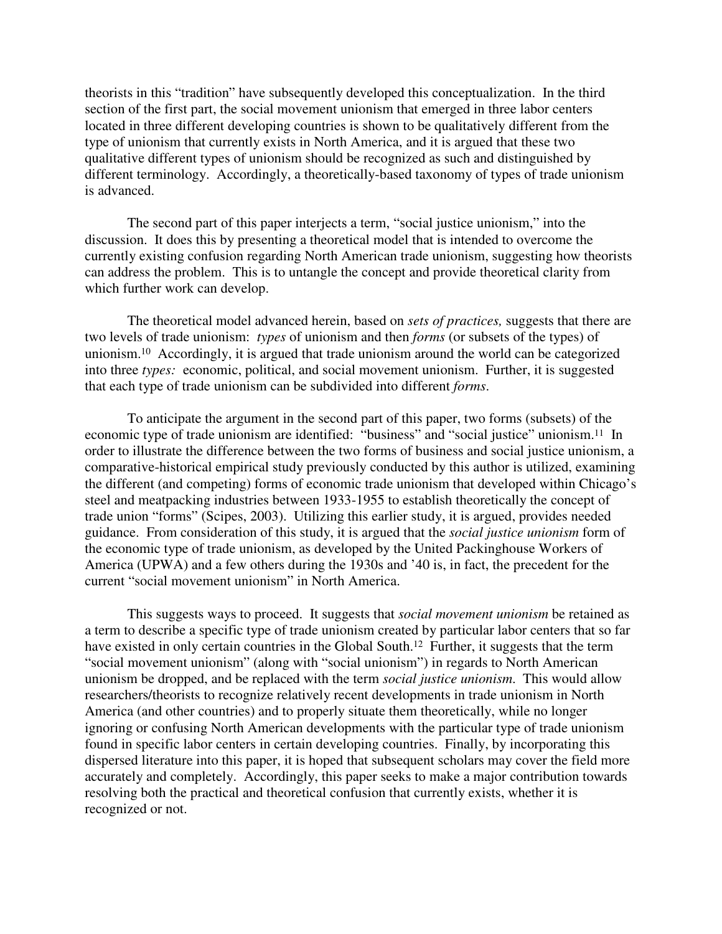theorists in this "tradition" have subsequently developed this conceptualization. In the third section of the first part, the social movement unionism that emerged in three labor centers located in three different developing countries is shown to be qualitatively different from the type of unionism that currently exists in North America, and it is argued that these two qualitative different types of unionism should be recognized as such and distinguished by different terminology. Accordingly, a theoretically-based taxonomy of types of trade unionism is advanced.

The second part of this paper interjects a term, "social justice unionism," into the discussion. It does this by presenting a theoretical model that is intended to overcome the currently existing confusion regarding North American trade unionism, suggesting how theorists can address the problem. This is to untangle the concept and provide theoretical clarity from which further work can develop.

The theoretical model advanced herein, based on *sets of practices,* suggests that there are two levels of trade unionism: *types* of unionism and then *forms* (or subsets of the types) of unionism.10 Accordingly, it is argued that trade unionism around the world can be categorized into three *types:* economic, political, and social movement unionism. Further, it is suggested that each type of trade unionism can be subdivided into different *forms*.

To anticipate the argument in the second part of this paper, two forms (subsets) of the economic type of trade unionism are identified: "business" and "social justice" unionism.11 In order to illustrate the difference between the two forms of business and social justice unionism, a comparative-historical empirical study previously conducted by this author is utilized, examining the different (and competing) forms of economic trade unionism that developed within Chicago's steel and meatpacking industries between 1933-1955 to establish theoretically the concept of trade union "forms" (Scipes, 2003). Utilizing this earlier study, it is argued, provides needed guidance. From consideration of this study, it is argued that the *social justice unionism* form of the economic type of trade unionism, as developed by the United Packinghouse Workers of America (UPWA) and a few others during the 1930s and '40 is, in fact, the precedent for the current "social movement unionism" in North America.

This suggests ways to proceed. It suggests that *social movement unionism* be retained as a term to describe a specific type of trade unionism created by particular labor centers that so far have existed in only certain countries in the Global South.<sup>12</sup> Further, it suggests that the term "social movement unionism" (along with "social unionism") in regards to North American unionism be dropped, and be replaced with the term *social justice unionism*. This would allow researchers/theorists to recognize relatively recent developments in trade unionism in North America (and other countries) and to properly situate them theoretically, while no longer ignoring or confusing North American developments with the particular type of trade unionism found in specific labor centers in certain developing countries. Finally, by incorporating this dispersed literature into this paper, it is hoped that subsequent scholars may cover the field more accurately and completely. Accordingly, this paper seeks to make a major contribution towards resolving both the practical and theoretical confusion that currently exists, whether it is recognized or not.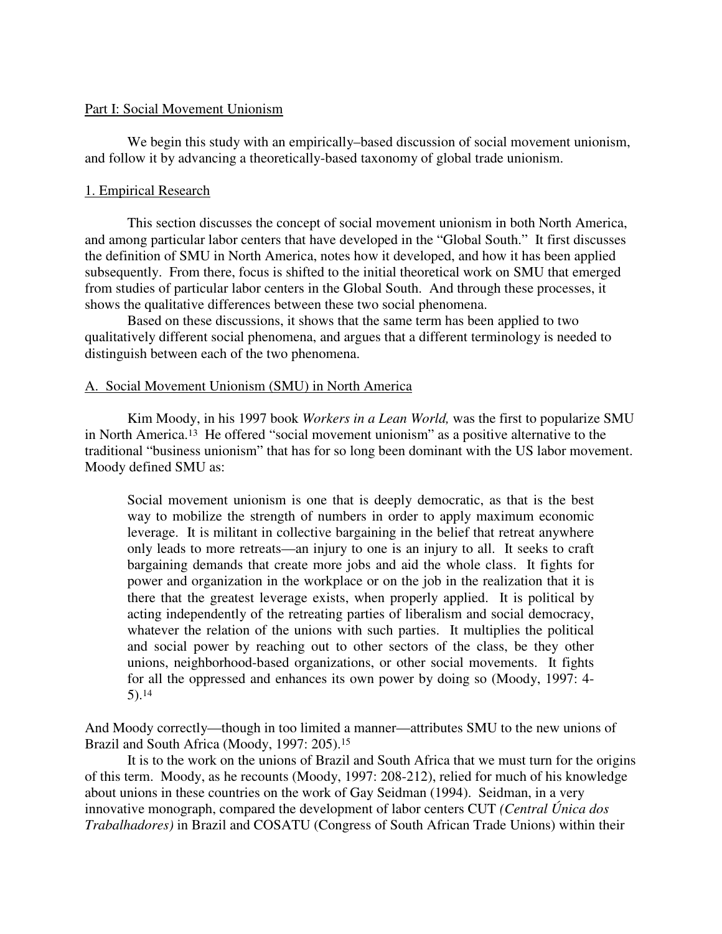#### Part I: Social Movement Unionism

We begin this study with an empirically–based discussion of social movement unionism, and follow it by advancing a theoretically-based taxonomy of global trade unionism.

#### 1. Empirical Research

This section discusses the concept of social movement unionism in both North America, and among particular labor centers that have developed in the "Global South." It first discusses the definition of SMU in North America, notes how it developed, and how it has been applied subsequently. From there, focus is shifted to the initial theoretical work on SMU that emerged from studies of particular labor centers in the Global South. And through these processes, it shows the qualitative differences between these two social phenomena.

Based on these discussions, it shows that the same term has been applied to two qualitatively different social phenomena, and argues that a different terminology is needed to distinguish between each of the two phenomena.

### A. Social Movement Unionism (SMU) in North America

Kim Moody, in his 1997 book *Workers in a Lean World,* was the first to popularize SMU in North America.13 He offered "social movement unionism" as a positive alternative to the traditional "business unionism" that has for so long been dominant with the US labor movement. Moody defined SMU as:

Social movement unionism is one that is deeply democratic, as that is the best way to mobilize the strength of numbers in order to apply maximum economic leverage. It is militant in collective bargaining in the belief that retreat anywhere only leads to more retreats—an injury to one is an injury to all. It seeks to craft bargaining demands that create more jobs and aid the whole class. It fights for power and organization in the workplace or on the job in the realization that it is there that the greatest leverage exists, when properly applied. It is political by acting independently of the retreating parties of liberalism and social democracy, whatever the relation of the unions with such parties. It multiplies the political and social power by reaching out to other sectors of the class, be they other unions, neighborhood-based organizations, or other social movements. It fights for all the oppressed and enhances its own power by doing so (Moody, 1997: 4- 5).<sup>14</sup>

And Moody correctly—though in too limited a manner—attributes SMU to the new unions of Brazil and South Africa (Moody, 1997: 205).<sup>15</sup>

It is to the work on the unions of Brazil and South Africa that we must turn for the origins of this term. Moody, as he recounts (Moody, 1997: 208-212), relied for much of his knowledge about unions in these countries on the work of Gay Seidman (1994). Seidman, in a very innovative monograph, compared the development of labor centers CUT *(Central Única dos Trabalhadores)* in Brazil and COSATU (Congress of South African Trade Unions) within their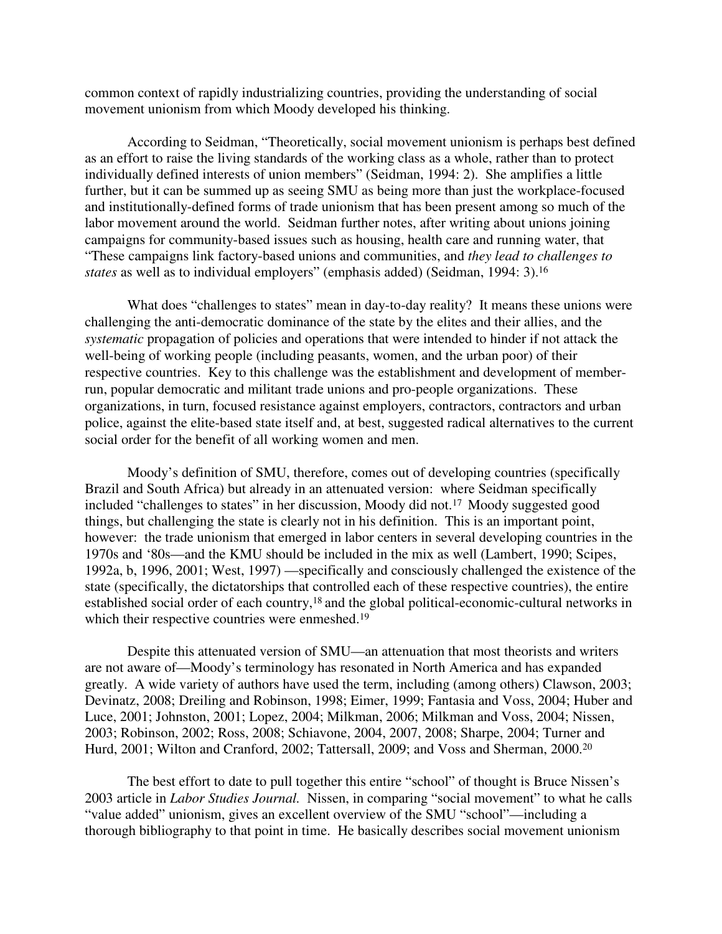common context of rapidly industrializing countries, providing the understanding of social movement unionism from which Moody developed his thinking.

According to Seidman, "Theoretically, social movement unionism is perhaps best defined as an effort to raise the living standards of the working class as a whole, rather than to protect individually defined interests of union members" (Seidman, 1994: 2). She amplifies a little further, but it can be summed up as seeing SMU as being more than just the workplace-focused and institutionally-defined forms of trade unionism that has been present among so much of the labor movement around the world. Seidman further notes, after writing about unions joining campaigns for community-based issues such as housing, health care and running water, that "These campaigns link factory-based unions and communities, and *they lead to challenges to states* as well as to individual employers" (emphasis added) (Seidman, 1994: 3).<sup>16</sup>

What does "challenges to states" mean in day-to-day reality? It means these unions were challenging the anti-democratic dominance of the state by the elites and their allies, and the *systematic* propagation of policies and operations that were intended to hinder if not attack the well-being of working people (including peasants, women, and the urban poor) of their respective countries. Key to this challenge was the establishment and development of memberrun, popular democratic and militant trade unions and pro-people organizations. These organizations, in turn, focused resistance against employers, contractors, contractors and urban police, against the elite-based state itself and, at best, suggested radical alternatives to the current social order for the benefit of all working women and men.

Moody's definition of SMU, therefore, comes out of developing countries (specifically Brazil and South Africa) but already in an attenuated version: where Seidman specifically included "challenges to states" in her discussion, Moody did not.17 Moody suggested good things, but challenging the state is clearly not in his definition. This is an important point, however: the trade unionism that emerged in labor centers in several developing countries in the 1970s and '80s—and the KMU should be included in the mix as well (Lambert, 1990; Scipes, 1992a, b, 1996, 2001; West, 1997) —specifically and consciously challenged the existence of the state (specifically, the dictatorships that controlled each of these respective countries), the entire established social order of each country,<sup>18</sup> and the global political-economic-cultural networks in which their respective countries were enmeshed.<sup>19</sup>

Despite this attenuated version of SMU—an attenuation that most theorists and writers are not aware of—Moody's terminology has resonated in North America and has expanded greatly. A wide variety of authors have used the term, including (among others) Clawson, 2003; Devinatz, 2008; Dreiling and Robinson, 1998; Eimer, 1999; Fantasia and Voss, 2004; Huber and Luce, 2001; Johnston, 2001; Lopez, 2004; Milkman, 2006; Milkman and Voss, 2004; Nissen, 2003; Robinson, 2002; Ross, 2008; Schiavone, 2004, 2007, 2008; Sharpe, 2004; Turner and Hurd, 2001; Wilton and Cranford, 2002; Tattersall, 2009; and Voss and Sherman, 2000.<sup>20</sup>

The best effort to date to pull together this entire "school" of thought is Bruce Nissen's 2003 article in *Labor Studies Journal.* Nissen, in comparing "social movement" to what he calls "value added" unionism, gives an excellent overview of the SMU "school"—including a thorough bibliography to that point in time. He basically describes social movement unionism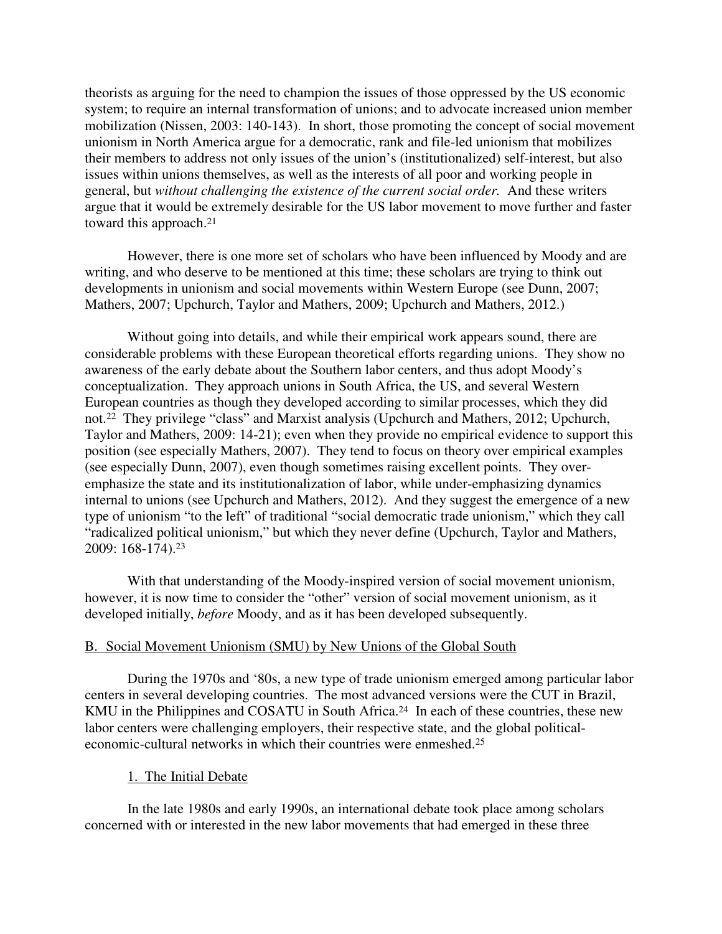theorists as arguing for the need to champion the issues of those oppressed by the US economic system; to require an internal transformation of unions; and to advocate increased union member mobilization (Nissen, 2003: 140-143). In short, those promoting the concept of social movement unionism in North America argue for a democratic, rank and file-led unionism that mobilizes their members to address not only issues of the union's (institutionalized) self-interest, but also issues within unions themselves, as well as the interests of all poor and working people in general, but *without challenging the existence of the current social order.* And these writers argue that it would be extremely desirable for the US labor movement to move further and faster toward this approach.<sup>21</sup>

However, there is one more set of scholars who have been influenced by Moody and are writing, and who deserve to be mentioned at this time; these scholars are trying to think out developments in unionism and social movements within Western Europe (see Dunn, 2007; Mathers, 2007; Upchurch, Taylor and Mathers, 2009; Upchurch and Mathers, 2012.)

Without going into details, and while their empirical work appears sound, there are considerable problems with these European theoretical efforts regarding unions. They show no awareness of the early debate about the Southern labor centers, and thus adopt Moody's conceptualization. They approach unions in South Africa, the US, and several Western European countries as though they developed according to similar processes, which they did not.22 They privilege "class" and Marxist analysis (Upchurch and Mathers, 2012; Upchurch, Taylor and Mathers, 2009: 14-21); even when they provide no empirical evidence to support this position (see especially Mathers, 2007). They tend to focus on theory over empirical examples (see especially Dunn, 2007), even though sometimes raising excellent points. They overemphasize the state and its institutionalization of labor, while under-emphasizing dynamics internal to unions (see Upchurch and Mathers, 2012). And they suggest the emergence of a new type of unionism "to the left" of traditional "social democratic trade unionism," which they call "radicalized political unionism," but which they never define (Upchurch, Taylor and Mathers, 2009: 168-174).<sup>23</sup>

With that understanding of the Moody-inspired version of social movement unionism, however, it is now time to consider the "other" version of social movement unionism, as it developed initially, *before* Moody, and as it has been developed subsequently.

#### B. Social Movement Unionism (SMU) by New Unions of the Global South

During the 1970s and '80s, a new type of trade unionism emerged among particular labor centers in several developing countries. The most advanced versions were the CUT in Brazil, KMU in the Philippines and COSATU in South Africa.<sup>24</sup> In each of these countries, these new labor centers were challenging employers, their respective state, and the global politicaleconomic-cultural networks in which their countries were enmeshed.<sup>25</sup>

#### 1. The Initial Debate

In the late 1980s and early 1990s, an international debate took place among scholars concerned with or interested in the new labor movements that had emerged in these three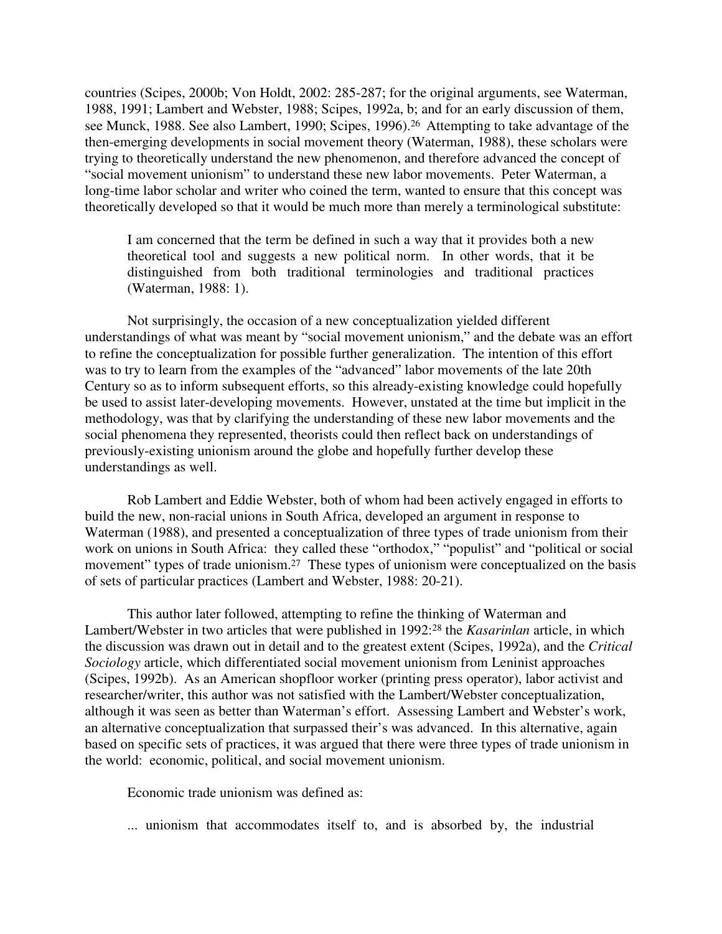countries (Scipes, 2000b; Von Holdt, 2002: 285-287; for the original arguments, see Waterman, 1988, 1991; Lambert and Webster, 1988; Scipes, 1992a, b; and for an early discussion of them, see Munck, 1988. See also Lambert, 1990; Scipes, 1996).26 Attempting to take advantage of the then-emerging developments in social movement theory (Waterman, 1988), these scholars were trying to theoretically understand the new phenomenon, and therefore advanced the concept of "social movement unionism" to understand these new labor movements. Peter Waterman, a long-time labor scholar and writer who coined the term, wanted to ensure that this concept was theoretically developed so that it would be much more than merely a terminological substitute:

I am concerned that the term be defined in such a way that it provides both a new theoretical tool and suggests a new political norm. In other words, that it be distinguished from both traditional terminologies and traditional practices (Waterman, 1988: 1).

Not surprisingly, the occasion of a new conceptualization yielded different understandings of what was meant by "social movement unionism," and the debate was an effort to refine the conceptualization for possible further generalization. The intention of this effort was to try to learn from the examples of the "advanced" labor movements of the late 20th Century so as to inform subsequent efforts, so this already-existing knowledge could hopefully be used to assist later-developing movements. However, unstated at the time but implicit in the methodology, was that by clarifying the understanding of these new labor movements and the social phenomena they represented, theorists could then reflect back on understandings of previously-existing unionism around the globe and hopefully further develop these understandings as well.

Rob Lambert and Eddie Webster, both of whom had been actively engaged in efforts to build the new, non-racial unions in South Africa, developed an argument in response to Waterman (1988), and presented a conceptualization of three types of trade unionism from their work on unions in South Africa: they called these "orthodox," "populist" and "political or social movement" types of trade unionism.<sup>27</sup> These types of unionism were conceptualized on the basis of sets of particular practices (Lambert and Webster, 1988: 20-21).

This author later followed, attempting to refine the thinking of Waterman and Lambert/Webster in two articles that were published in 1992:28 the *Kasarinlan* article, in which the discussion was drawn out in detail and to the greatest extent (Scipes, 1992a), and the *Critical Sociology* article, which differentiated social movement unionism from Leninist approaches (Scipes, 1992b). As an American shopfloor worker (printing press operator), labor activist and researcher/writer, this author was not satisfied with the Lambert/Webster conceptualization, although it was seen as better than Waterman's effort. Assessing Lambert and Webster's work, an alternative conceptualization that surpassed their's was advanced. In this alternative, again based on specific sets of practices, it was argued that there were three types of trade unionism in the world: economic, political, and social movement unionism.

Economic trade unionism was defined as:

... unionism that accommodates itself to, and is absorbed by, the industrial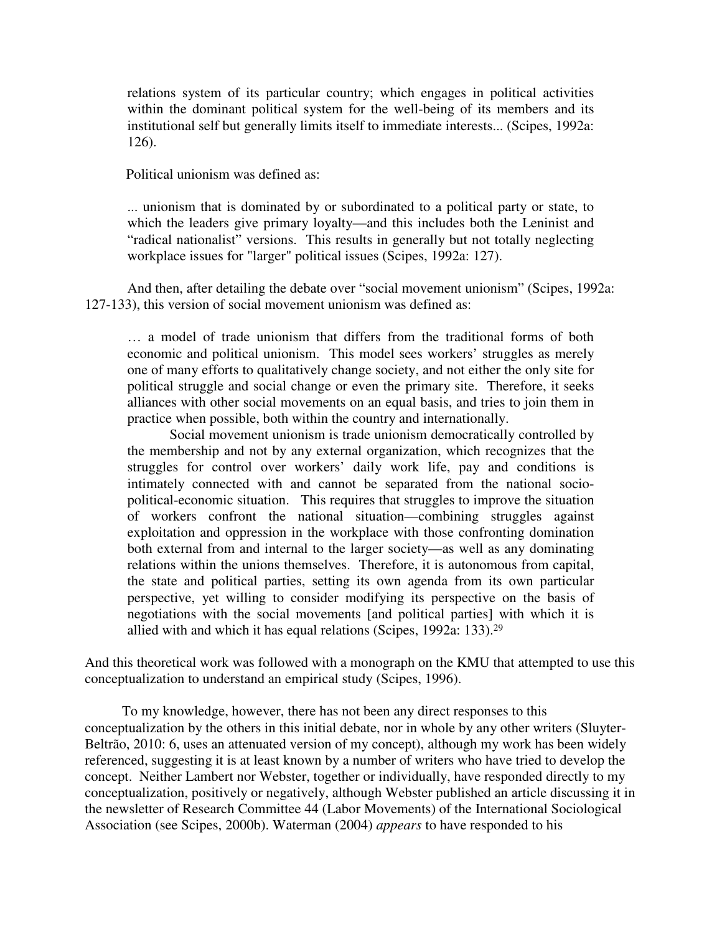relations system of its particular country; which engages in political activities within the dominant political system for the well-being of its members and its institutional self but generally limits itself to immediate interests... (Scipes, 1992a: 126).

Political unionism was defined as:

... unionism that is dominated by or subordinated to a political party or state, to which the leaders give primary loyalty—and this includes both the Leninist and "radical nationalist" versions. This results in generally but not totally neglecting workplace issues for "larger" political issues (Scipes, 1992a: 127).

And then, after detailing the debate over "social movement unionism" (Scipes, 1992a: 127-133), this version of social movement unionism was defined as:

… a model of trade unionism that differs from the traditional forms of both economic and political unionism. This model sees workers' struggles as merely one of many efforts to qualitatively change society, and not either the only site for political struggle and social change or even the primary site. Therefore, it seeks alliances with other social movements on an equal basis, and tries to join them in practice when possible, both within the country and internationally.

Social movement unionism is trade unionism democratically controlled by the membership and not by any external organization, which recognizes that the struggles for control over workers' daily work life, pay and conditions is intimately connected with and cannot be separated from the national sociopolitical-economic situation. This requires that struggles to improve the situation of workers confront the national situation—combining struggles against exploitation and oppression in the workplace with those confronting domination both external from and internal to the larger society—as well as any dominating relations within the unions themselves. Therefore, it is autonomous from capital, the state and political parties, setting its own agenda from its own particular perspective, yet willing to consider modifying its perspective on the basis of negotiations with the social movements [and political parties] with which it is allied with and which it has equal relations (Scipes, 1992a: 133).<sup>29</sup>

And this theoretical work was followed with a monograph on the KMU that attempted to use this conceptualization to understand an empirical study (Scipes, 1996).

To my knowledge, however, there has not been any direct responses to this conceptualization by the others in this initial debate, nor in whole by any other writers (Sluyter-Beltrão, 2010: 6, uses an attenuated version of my concept), although my work has been widely referenced, suggesting it is at least known by a number of writers who have tried to develop the concept. Neither Lambert nor Webster, together or individually, have responded directly to my conceptualization, positively or negatively, although Webster published an article discussing it in the newsletter of Research Committee 44 (Labor Movements) of the International Sociological Association (see Scipes, 2000b). Waterman (2004) *appears* to have responded to his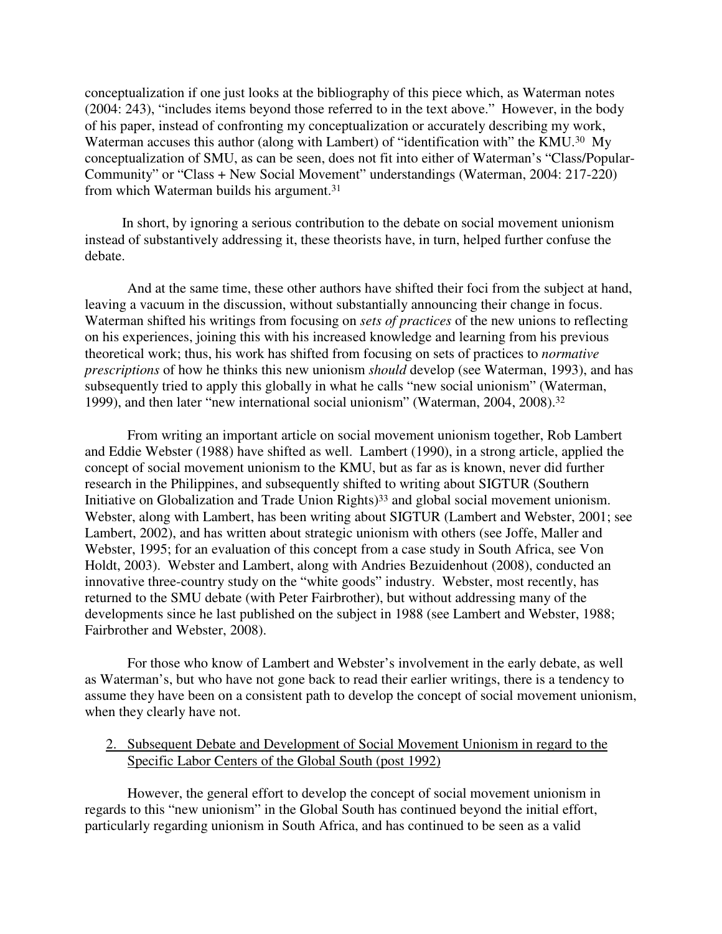conceptualization if one just looks at the bibliography of this piece which, as Waterman notes (2004: 243), "includes items beyond those referred to in the text above." However, in the body of his paper, instead of confronting my conceptualization or accurately describing my work, Waterman accuses this author (along with Lambert) of "identification with" the KMU.<sup>30</sup> My conceptualization of SMU, as can be seen, does not fit into either of Waterman's "Class/Popular-Community" or "Class + New Social Movement" understandings (Waterman, 2004: 217-220) from which Waterman builds his argument.<sup>31</sup>

In short, by ignoring a serious contribution to the debate on social movement unionism instead of substantively addressing it, these theorists have, in turn, helped further confuse the debate.

And at the same time, these other authors have shifted their foci from the subject at hand, leaving a vacuum in the discussion, without substantially announcing their change in focus. Waterman shifted his writings from focusing on *sets of practices* of the new unions to reflecting on his experiences, joining this with his increased knowledge and learning from his previous theoretical work; thus, his work has shifted from focusing on sets of practices to *normative prescriptions* of how he thinks this new unionism *should* develop (see Waterman, 1993), and has subsequently tried to apply this globally in what he calls "new social unionism" (Waterman, 1999), and then later "new international social unionism" (Waterman, 2004, 2008).<sup>32</sup>

From writing an important article on social movement unionism together, Rob Lambert and Eddie Webster (1988) have shifted as well. Lambert (1990), in a strong article, applied the concept of social movement unionism to the KMU, but as far as is known, never did further research in the Philippines, and subsequently shifted to writing about SIGTUR (Southern Initiative on Globalization and Trade Union Rights)<sup>33</sup> and global social movement unionism. Webster, along with Lambert, has been writing about SIGTUR (Lambert and Webster, 2001; see Lambert, 2002), and has written about strategic unionism with others (see Joffe, Maller and Webster, 1995; for an evaluation of this concept from a case study in South Africa, see Von Holdt, 2003). Webster and Lambert, along with Andries Bezuidenhout (2008), conducted an innovative three-country study on the "white goods" industry. Webster, most recently, has returned to the SMU debate (with Peter Fairbrother), but without addressing many of the developments since he last published on the subject in 1988 (see Lambert and Webster, 1988; Fairbrother and Webster, 2008).

For those who know of Lambert and Webster's involvement in the early debate, as well as Waterman's, but who have not gone back to read their earlier writings, there is a tendency to assume they have been on a consistent path to develop the concept of social movement unionism, when they clearly have not.

#### 2. Subsequent Debate and Development of Social Movement Unionism in regard to the Specific Labor Centers of the Global South (post 1992)

However, the general effort to develop the concept of social movement unionism in regards to this "new unionism" in the Global South has continued beyond the initial effort, particularly regarding unionism in South Africa, and has continued to be seen as a valid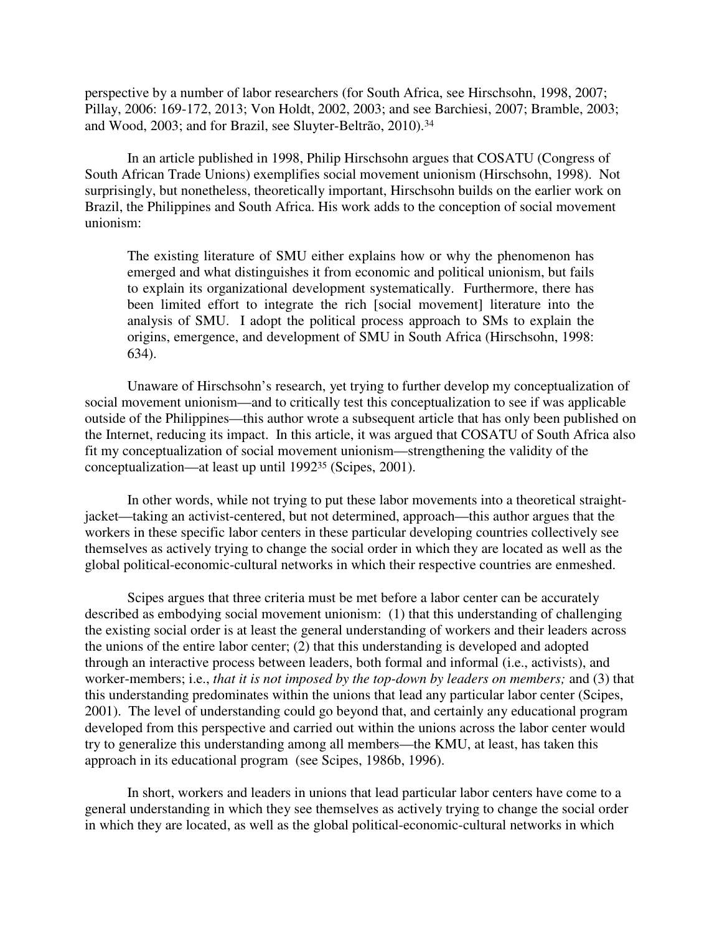perspective by a number of labor researchers (for South Africa, see Hirschsohn, 1998, 2007; Pillay, 2006: 169-172, 2013; Von Holdt, 2002, 2003; and see Barchiesi, 2007; Bramble, 2003; and Wood, 2003; and for Brazil, see Sluyter-Beltrão, 2010).<sup>34</sup>

In an article published in 1998, Philip Hirschsohn argues that COSATU (Congress of South African Trade Unions) exemplifies social movement unionism (Hirschsohn, 1998). Not surprisingly, but nonetheless, theoretically important, Hirschsohn builds on the earlier work on Brazil, the Philippines and South Africa. His work adds to the conception of social movement unionism:

The existing literature of SMU either explains how or why the phenomenon has emerged and what distinguishes it from economic and political unionism, but fails to explain its organizational development systematically. Furthermore, there has been limited effort to integrate the rich [social movement] literature into the analysis of SMU. I adopt the political process approach to SMs to explain the origins, emergence, and development of SMU in South Africa (Hirschsohn, 1998: 634).

Unaware of Hirschsohn's research, yet trying to further develop my conceptualization of social movement unionism—and to critically test this conceptualization to see if was applicable outside of the Philippines—this author wrote a subsequent article that has only been published on the Internet, reducing its impact. In this article, it was argued that COSATU of South Africa also fit my conceptualization of social movement unionism—strengthening the validity of the conceptualization—at least up until 1992<sup>35</sup> (Scipes, 2001).

In other words, while not trying to put these labor movements into a theoretical straightjacket—taking an activist-centered, but not determined, approach—this author argues that the workers in these specific labor centers in these particular developing countries collectively see themselves as actively trying to change the social order in which they are located as well as the global political-economic-cultural networks in which their respective countries are enmeshed.

Scipes argues that three criteria must be met before a labor center can be accurately described as embodying social movement unionism: (1) that this understanding of challenging the existing social order is at least the general understanding of workers and their leaders across the unions of the entire labor center; (2) that this understanding is developed and adopted through an interactive process between leaders, both formal and informal (i.e., activists), and worker-members; i.e., *that it is not imposed by the top-down by leaders on members;* and (3) that this understanding predominates within the unions that lead any particular labor center (Scipes, 2001). The level of understanding could go beyond that, and certainly any educational program developed from this perspective and carried out within the unions across the labor center would try to generalize this understanding among all members—the KMU, at least, has taken this approach in its educational program (see Scipes, 1986b, 1996).

In short, workers and leaders in unions that lead particular labor centers have come to a general understanding in which they see themselves as actively trying to change the social order in which they are located, as well as the global political-economic-cultural networks in which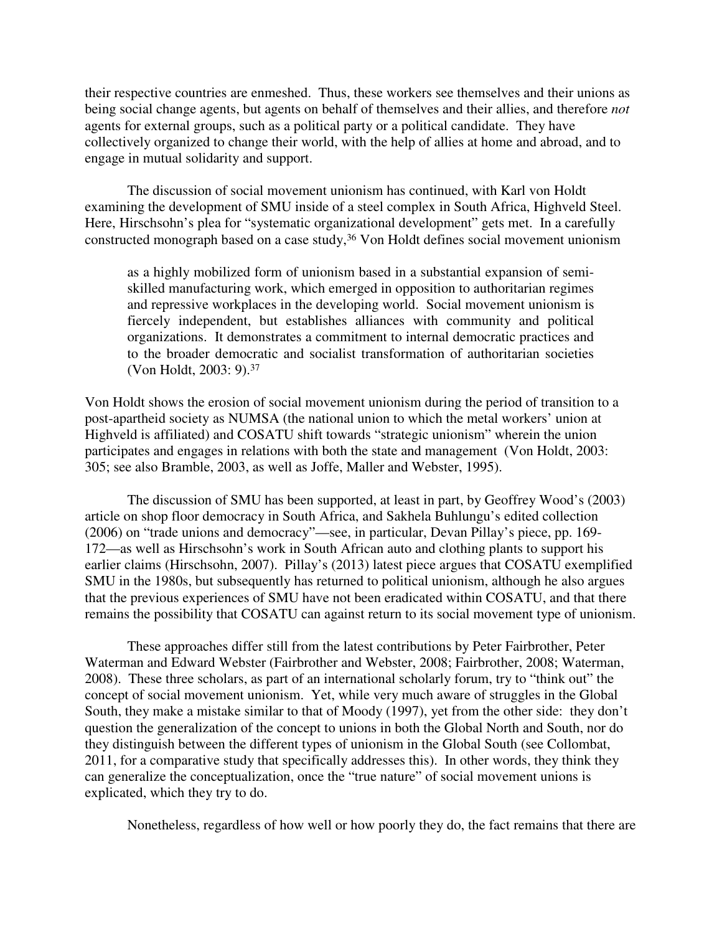their respective countries are enmeshed. Thus, these workers see themselves and their unions as being social change agents, but agents on behalf of themselves and their allies, and therefore *not* agents for external groups, such as a political party or a political candidate. They have collectively organized to change their world, with the help of allies at home and abroad, and to engage in mutual solidarity and support.

The discussion of social movement unionism has continued, with Karl von Holdt examining the development of SMU inside of a steel complex in South Africa, Highveld Steel. Here, Hirschsohn's plea for "systematic organizational development" gets met. In a carefully constructed monograph based on a case study,<sup>36</sup> Von Holdt defines social movement unionism

as a highly mobilized form of unionism based in a substantial expansion of semiskilled manufacturing work, which emerged in opposition to authoritarian regimes and repressive workplaces in the developing world. Social movement unionism is fiercely independent, but establishes alliances with community and political organizations. It demonstrates a commitment to internal democratic practices and to the broader democratic and socialist transformation of authoritarian societies (Von Holdt, 2003: 9).<sup>37</sup>

Von Holdt shows the erosion of social movement unionism during the period of transition to a post-apartheid society as NUMSA (the national union to which the metal workers' union at Highveld is affiliated) and COSATU shift towards "strategic unionism" wherein the union participates and engages in relations with both the state and management (Von Holdt, 2003: 305; see also Bramble, 2003, as well as Joffe, Maller and Webster, 1995).

The discussion of SMU has been supported, at least in part, by Geoffrey Wood's (2003) article on shop floor democracy in South Africa, and Sakhela Buhlungu's edited collection (2006) on "trade unions and democracy"—see, in particular, Devan Pillay's piece, pp. 169- 172—as well as Hirschsohn's work in South African auto and clothing plants to support his earlier claims (Hirschsohn, 2007). Pillay's (2013) latest piece argues that COSATU exemplified SMU in the 1980s, but subsequently has returned to political unionism, although he also argues that the previous experiences of SMU have not been eradicated within COSATU, and that there remains the possibility that COSATU can against return to its social movement type of unionism.

These approaches differ still from the latest contributions by Peter Fairbrother, Peter Waterman and Edward Webster (Fairbrother and Webster, 2008; Fairbrother, 2008; Waterman, 2008). These three scholars, as part of an international scholarly forum, try to "think out" the concept of social movement unionism. Yet, while very much aware of struggles in the Global South, they make a mistake similar to that of Moody (1997), yet from the other side: they don't question the generalization of the concept to unions in both the Global North and South, nor do they distinguish between the different types of unionism in the Global South (see Collombat, 2011, for a comparative study that specifically addresses this). In other words, they think they can generalize the conceptualization, once the "true nature" of social movement unions is explicated, which they try to do.

Nonetheless, regardless of how well or how poorly they do, the fact remains that there are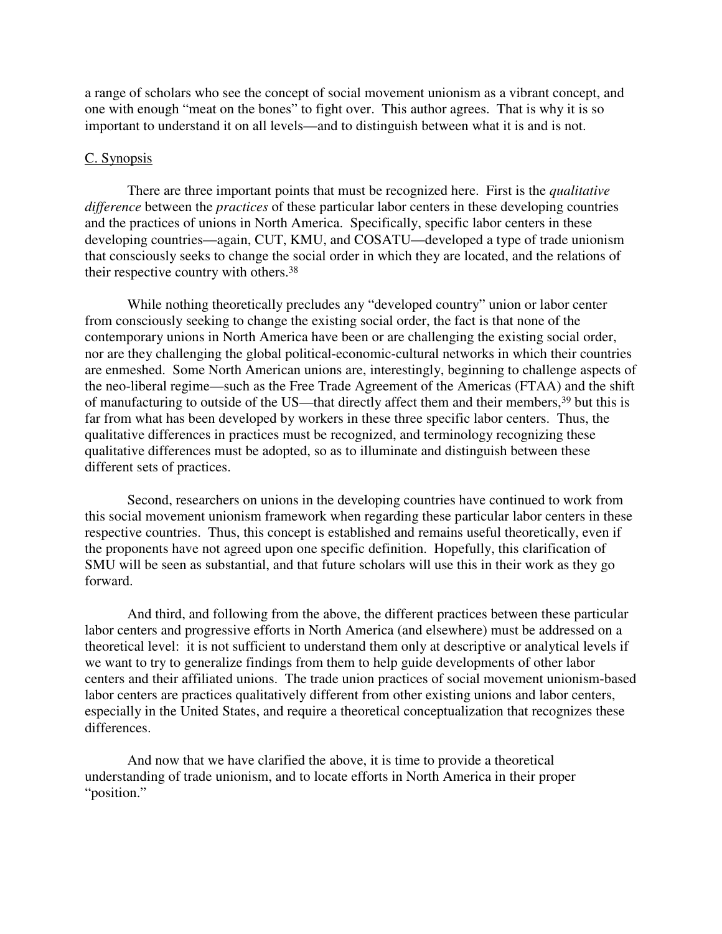a range of scholars who see the concept of social movement unionism as a vibrant concept, and one with enough "meat on the bones" to fight over. This author agrees. That is why it is so important to understand it on all levels—and to distinguish between what it is and is not.

#### C. Synopsis

There are three important points that must be recognized here. First is the *qualitative difference* between the *practices* of these particular labor centers in these developing countries and the practices of unions in North America. Specifically, specific labor centers in these developing countries—again, CUT, KMU, and COSATU—developed a type of trade unionism that consciously seeks to change the social order in which they are located, and the relations of their respective country with others.<sup>38</sup>

While nothing theoretically precludes any "developed country" union or labor center from consciously seeking to change the existing social order, the fact is that none of the contemporary unions in North America have been or are challenging the existing social order, nor are they challenging the global political-economic-cultural networks in which their countries are enmeshed. Some North American unions are, interestingly, beginning to challenge aspects of the neo-liberal regime—such as the Free Trade Agreement of the Americas (FTAA) and the shift of manufacturing to outside of the US—that directly affect them and their members, <sup>39</sup> but this is far from what has been developed by workers in these three specific labor centers. Thus, the qualitative differences in practices must be recognized, and terminology recognizing these qualitative differences must be adopted, so as to illuminate and distinguish between these different sets of practices.

Second, researchers on unions in the developing countries have continued to work from this social movement unionism framework when regarding these particular labor centers in these respective countries. Thus, this concept is established and remains useful theoretically, even if the proponents have not agreed upon one specific definition. Hopefully, this clarification of SMU will be seen as substantial, and that future scholars will use this in their work as they go forward.

And third, and following from the above, the different practices between these particular labor centers and progressive efforts in North America (and elsewhere) must be addressed on a theoretical level: it is not sufficient to understand them only at descriptive or analytical levels if we want to try to generalize findings from them to help guide developments of other labor centers and their affiliated unions. The trade union practices of social movement unionism-based labor centers are practices qualitatively different from other existing unions and labor centers, especially in the United States, and require a theoretical conceptualization that recognizes these differences.

And now that we have clarified the above, it is time to provide a theoretical understanding of trade unionism, and to locate efforts in North America in their proper "position."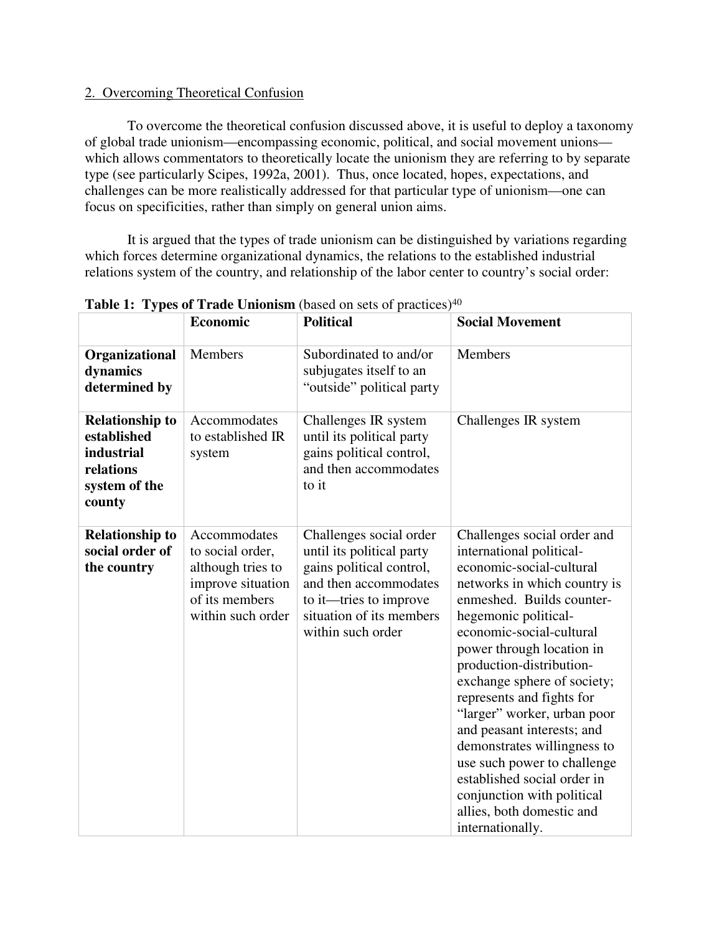## 2. Overcoming Theoretical Confusion

To overcome the theoretical confusion discussed above, it is useful to deploy a taxonomy of global trade unionism—encompassing economic, political, and social movement unions which allows commentators to theoretically locate the unionism they are referring to by separate type (see particularly Scipes, 1992a, 2001). Thus, once located, hopes, expectations, and challenges can be more realistically addressed for that particular type of unionism—one can focus on specificities, rather than simply on general union aims.

It is argued that the types of trade unionism can be distinguished by variations regarding which forces determine organizational dynamics, the relations to the established industrial relations system of the country, and relationship of the labor center to country's social order:

|                                                                                             | Economic                                                                                                          | <b>Political</b>                                                                                                                                                                     | <b>Social Movement</b>                                                                                                                                                                                                                                                                                                                                                                                                                                                                                                                                             |
|---------------------------------------------------------------------------------------------|-------------------------------------------------------------------------------------------------------------------|--------------------------------------------------------------------------------------------------------------------------------------------------------------------------------------|--------------------------------------------------------------------------------------------------------------------------------------------------------------------------------------------------------------------------------------------------------------------------------------------------------------------------------------------------------------------------------------------------------------------------------------------------------------------------------------------------------------------------------------------------------------------|
| Organizational<br>dynamics<br>determined by                                                 | Members                                                                                                           | Subordinated to and/or<br>subjugates itself to an<br>"outside" political party                                                                                                       | Members                                                                                                                                                                                                                                                                                                                                                                                                                                                                                                                                                            |
| <b>Relationship to</b><br>established<br>industrial<br>relations<br>system of the<br>county | Accommodates<br>to established IR<br>system                                                                       | Challenges IR system<br>until its political party<br>gains political control,<br>and then accommodates<br>to it                                                                      | Challenges IR system                                                                                                                                                                                                                                                                                                                                                                                                                                                                                                                                               |
| <b>Relationship to</b><br>social order of<br>the country                                    | Accommodates<br>to social order,<br>although tries to<br>improve situation<br>of its members<br>within such order | Challenges social order<br>until its political party<br>gains political control,<br>and then accommodates<br>to it—tries to improve<br>situation of its members<br>within such order | Challenges social order and<br>international political-<br>economic-social-cultural<br>networks in which country is<br>enmeshed. Builds counter-<br>hegemonic political-<br>economic-social-cultural<br>power through location in<br>production-distribution-<br>exchange sphere of society;<br>represents and fights for<br>"larger" worker, urban poor<br>and peasant interests; and<br>demonstrates willingness to<br>use such power to challenge<br>established social order in<br>conjunction with political<br>allies, both domestic and<br>internationally. |

**Table 1: Types of Trade Unionism** (based on sets of practices)<sup>40</sup>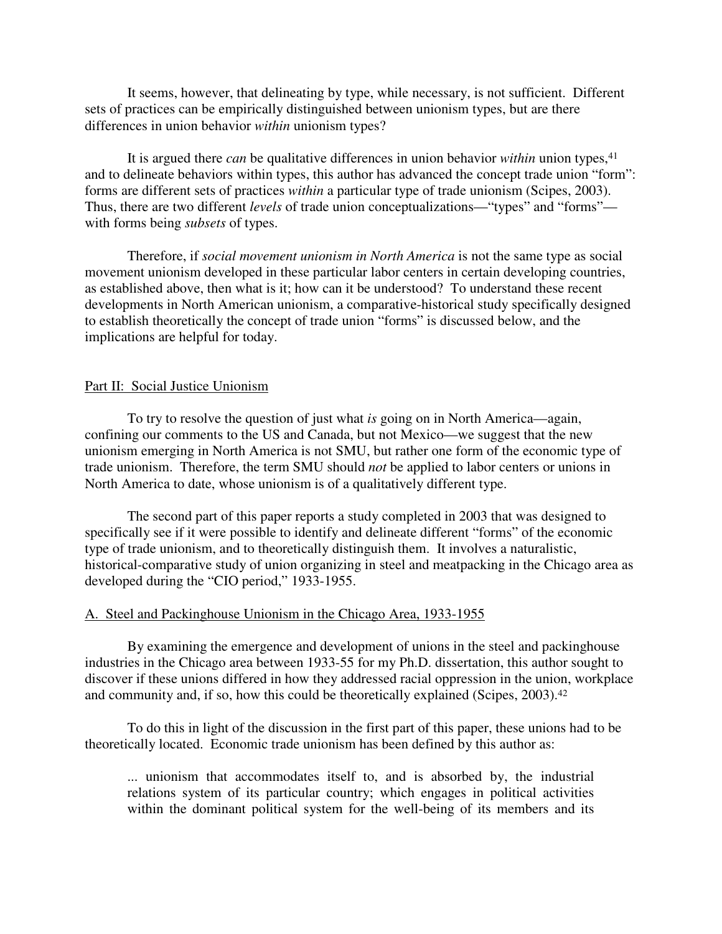It seems, however, that delineating by type, while necessary, is not sufficient. Different sets of practices can be empirically distinguished between unionism types, but are there differences in union behavior *within* unionism types?

It is argued there *can* be qualitative differences in union behavior *within* union types,<sup>41</sup> and to delineate behaviors within types, this author has advanced the concept trade union "form": forms are different sets of practices *within* a particular type of trade unionism (Scipes, 2003). Thus, there are two different *levels* of trade union conceptualizations—"types" and "forms" with forms being *subsets* of types.

Therefore, if *social movement unionism in North America* is not the same type as social movement unionism developed in these particular labor centers in certain developing countries, as established above, then what is it; how can it be understood? To understand these recent developments in North American unionism, a comparative-historical study specifically designed to establish theoretically the concept of trade union "forms" is discussed below, and the implications are helpful for today.

#### Part II: Social Justice Unionism

To try to resolve the question of just what *is* going on in North America—again, confining our comments to the US and Canada, but not Mexico—we suggest that the new unionism emerging in North America is not SMU, but rather one form of the economic type of trade unionism. Therefore, the term SMU should *not* be applied to labor centers or unions in North America to date, whose unionism is of a qualitatively different type.

The second part of this paper reports a study completed in 2003 that was designed to specifically see if it were possible to identify and delineate different "forms" of the economic type of trade unionism, and to theoretically distinguish them. It involves a naturalistic, historical-comparative study of union organizing in steel and meatpacking in the Chicago area as developed during the "CIO period," 1933-1955.

#### A. Steel and Packinghouse Unionism in the Chicago Area, 1933-1955

By examining the emergence and development of unions in the steel and packinghouse industries in the Chicago area between 1933-55 for my Ph.D. dissertation, this author sought to discover if these unions differed in how they addressed racial oppression in the union, workplace and community and, if so, how this could be theoretically explained (Scipes, 2003).<sup>42</sup>

To do this in light of the discussion in the first part of this paper, these unions had to be theoretically located. Economic trade unionism has been defined by this author as:

... unionism that accommodates itself to, and is absorbed by, the industrial relations system of its particular country; which engages in political activities within the dominant political system for the well-being of its members and its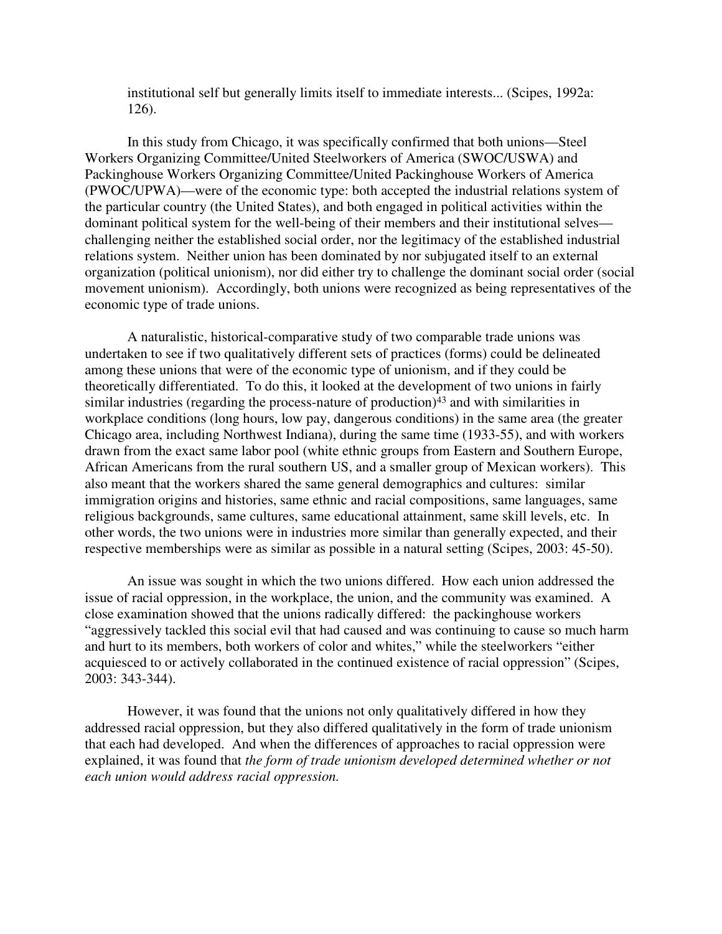institutional self but generally limits itself to immediate interests... (Scipes, 1992a: 126).

In this study from Chicago, it was specifically confirmed that both unions—Steel Workers Organizing Committee/United Steelworkers of America (SWOC/USWA) and Packinghouse Workers Organizing Committee/United Packinghouse Workers of America (PWOC/UPWA)—were of the economic type: both accepted the industrial relations system of the particular country (the United States), and both engaged in political activities within the dominant political system for the well-being of their members and their institutional selves challenging neither the established social order, nor the legitimacy of the established industrial relations system. Neither union has been dominated by nor subjugated itself to an external organization (political unionism), nor did either try to challenge the dominant social order (social movement unionism). Accordingly, both unions were recognized as being representatives of the economic type of trade unions.

A naturalistic, historical-comparative study of two comparable trade unions was undertaken to see if two qualitatively different sets of practices (forms) could be delineated among these unions that were of the economic type of unionism, and if they could be theoretically differentiated. To do this, it looked at the development of two unions in fairly similar industries (regarding the process-nature of production)<sup>43</sup> and with similarities in workplace conditions (long hours, low pay, dangerous conditions) in the same area (the greater Chicago area, including Northwest Indiana), during the same time (1933-55), and with workers drawn from the exact same labor pool (white ethnic groups from Eastern and Southern Europe, African Americans from the rural southern US, and a smaller group of Mexican workers). This also meant that the workers shared the same general demographics and cultures: similar immigration origins and histories, same ethnic and racial compositions, same languages, same religious backgrounds, same cultures, same educational attainment, same skill levels, etc. In other words, the two unions were in industries more similar than generally expected, and their respective memberships were as similar as possible in a natural setting (Scipes, 2003: 45-50).

An issue was sought in which the two unions differed. How each union addressed the issue of racial oppression, in the workplace, the union, and the community was examined. A close examination showed that the unions radically differed: the packinghouse workers "aggressively tackled this social evil that had caused and was continuing to cause so much harm and hurt to its members, both workers of color and whites," while the steelworkers "either acquiesced to or actively collaborated in the continued existence of racial oppression" (Scipes, 2003: 343-344).

However, it was found that the unions not only qualitatively differed in how they addressed racial oppression, but they also differed qualitatively in the form of trade unionism that each had developed. And when the differences of approaches to racial oppression were explained, it was found that *the form of trade unionism developed determined whether or not each union would address racial oppression.*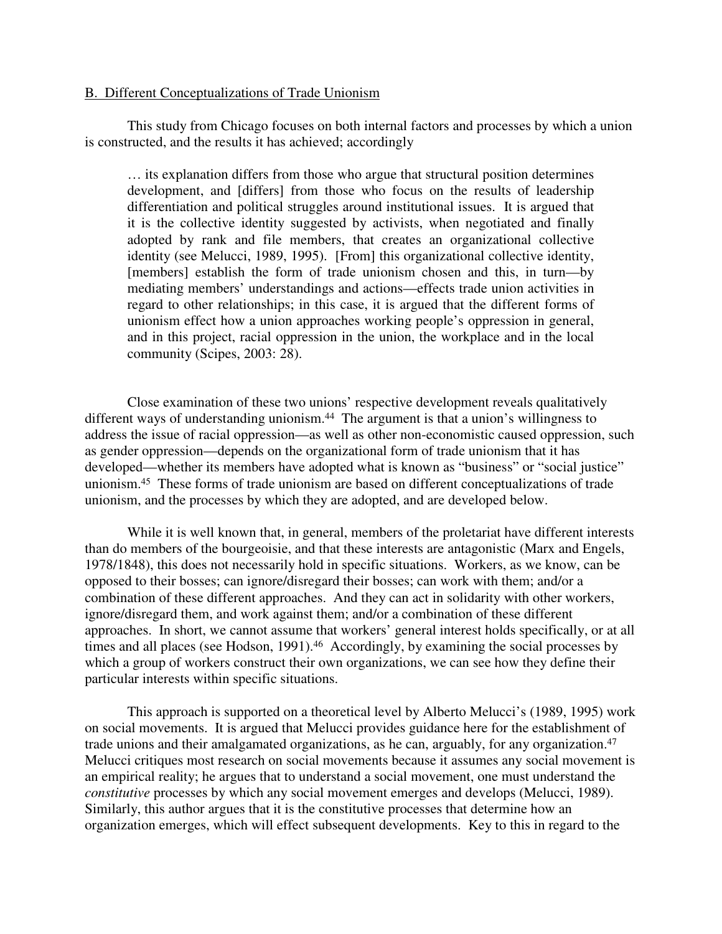#### B. Different Conceptualizations of Trade Unionism

This study from Chicago focuses on both internal factors and processes by which a union is constructed, and the results it has achieved; accordingly

… its explanation differs from those who argue that structural position determines development, and [differs] from those who focus on the results of leadership differentiation and political struggles around institutional issues. It is argued that it is the collective identity suggested by activists, when negotiated and finally adopted by rank and file members, that creates an organizational collective identity (see Melucci, 1989, 1995). [From] this organizational collective identity, [members] establish the form of trade unionism chosen and this, in turn—by mediating members' understandings and actions—effects trade union activities in regard to other relationships; in this case, it is argued that the different forms of unionism effect how a union approaches working people's oppression in general, and in this project, racial oppression in the union, the workplace and in the local community (Scipes, 2003: 28).

Close examination of these two unions' respective development reveals qualitatively different ways of understanding unionism.<sup>44</sup> The argument is that a union's willingness to address the issue of racial oppression—as well as other non-economistic caused oppression, such as gender oppression—depends on the organizational form of trade unionism that it has developed—whether its members have adopted what is known as "business" or "social justice" unionism.45 These forms of trade unionism are based on different conceptualizations of trade unionism, and the processes by which they are adopted, and are developed below.

While it is well known that, in general, members of the proletariat have different interests than do members of the bourgeoisie, and that these interests are antagonistic (Marx and Engels, 1978/1848), this does not necessarily hold in specific situations. Workers, as we know, can be opposed to their bosses; can ignore/disregard their bosses; can work with them; and/or a combination of these different approaches. And they can act in solidarity with other workers, ignore/disregard them, and work against them; and/or a combination of these different approaches. In short, we cannot assume that workers' general interest holds specifically, or at all times and all places (see Hodson, 1991).<sup>46</sup> Accordingly, by examining the social processes by which a group of workers construct their own organizations, we can see how they define their particular interests within specific situations.

This approach is supported on a theoretical level by Alberto Melucci's (1989, 1995) work on social movements. It is argued that Melucci provides guidance here for the establishment of trade unions and their amalgamated organizations, as he can, arguably, for any organization.<sup>47</sup> Melucci critiques most research on social movements because it assumes any social movement is an empirical reality; he argues that to understand a social movement, one must understand the *constitutive* processes by which any social movement emerges and develops (Melucci, 1989). Similarly, this author argues that it is the constitutive processes that determine how an organization emerges, which will effect subsequent developments. Key to this in regard to the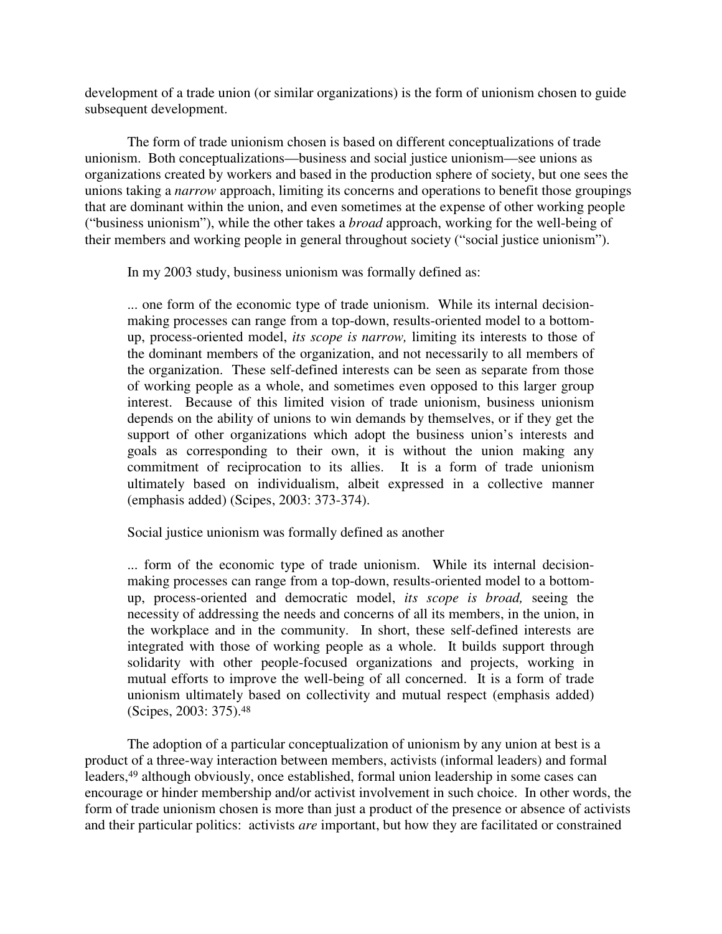development of a trade union (or similar organizations) is the form of unionism chosen to guide subsequent development.

The form of trade unionism chosen is based on different conceptualizations of trade unionism. Both conceptualizations—business and social justice unionism—see unions as organizations created by workers and based in the production sphere of society, but one sees the unions taking a *narrow* approach, limiting its concerns and operations to benefit those groupings that are dominant within the union, and even sometimes at the expense of other working people ("business unionism"), while the other takes a *broad* approach, working for the well-being of their members and working people in general throughout society ("social justice unionism").

In my 2003 study, business unionism was formally defined as:

... one form of the economic type of trade unionism. While its internal decisionmaking processes can range from a top-down, results-oriented model to a bottomup, process-oriented model, *its scope is narrow,* limiting its interests to those of the dominant members of the organization, and not necessarily to all members of the organization. These self-defined interests can be seen as separate from those of working people as a whole, and sometimes even opposed to this larger group interest. Because of this limited vision of trade unionism, business unionism depends on the ability of unions to win demands by themselves, or if they get the support of other organizations which adopt the business union's interests and goals as corresponding to their own, it is without the union making any commitment of reciprocation to its allies. It is a form of trade unionism ultimately based on individualism, albeit expressed in a collective manner (emphasis added) (Scipes, 2003: 373-374).

Social justice unionism was formally defined as another

... form of the economic type of trade unionism. While its internal decisionmaking processes can range from a top-down, results-oriented model to a bottomup, process-oriented and democratic model, *its scope is broad,* seeing the necessity of addressing the needs and concerns of all its members, in the union, in the workplace and in the community. In short, these self-defined interests are integrated with those of working people as a whole. It builds support through solidarity with other people-focused organizations and projects, working in mutual efforts to improve the well-being of all concerned. It is a form of trade unionism ultimately based on collectivity and mutual respect (emphasis added) (Scipes, 2003: 375).<sup>48</sup>

The adoption of a particular conceptualization of unionism by any union at best is a product of a three-way interaction between members, activists (informal leaders) and formal leaders,49 although obviously, once established, formal union leadership in some cases can encourage or hinder membership and/or activist involvement in such choice. In other words, the form of trade unionism chosen is more than just a product of the presence or absence of activists and their particular politics: activists *are* important, but how they are facilitated or constrained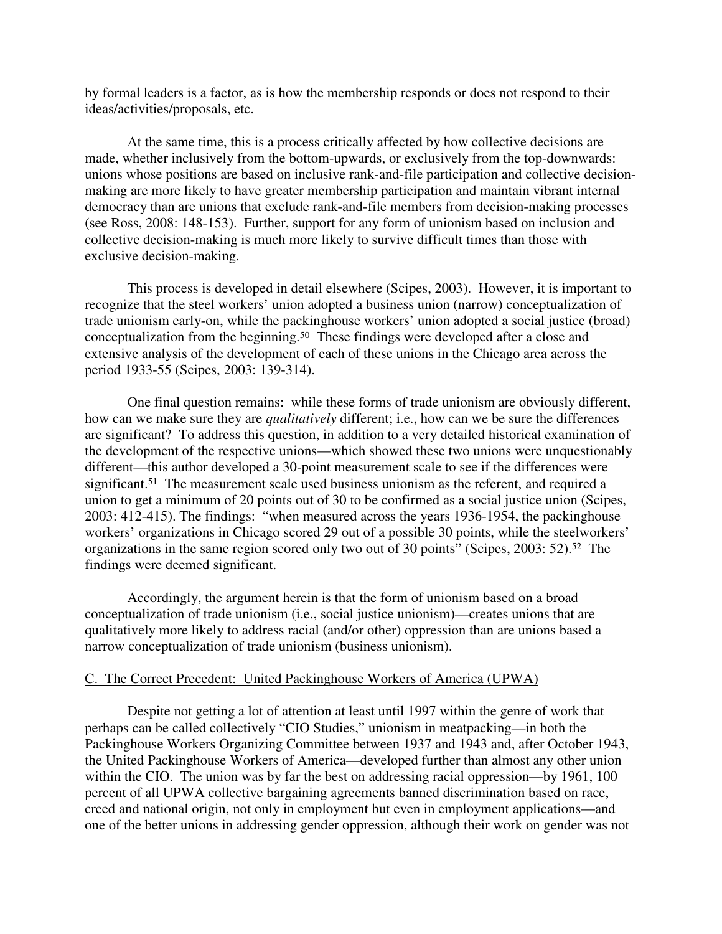by formal leaders is a factor, as is how the membership responds or does not respond to their ideas/activities/proposals, etc.

At the same time, this is a process critically affected by how collective decisions are made, whether inclusively from the bottom-upwards, or exclusively from the top-downwards: unions whose positions are based on inclusive rank-and-file participation and collective decisionmaking are more likely to have greater membership participation and maintain vibrant internal democracy than are unions that exclude rank-and-file members from decision-making processes (see Ross, 2008: 148-153). Further, support for any form of unionism based on inclusion and collective decision-making is much more likely to survive difficult times than those with exclusive decision-making.

This process is developed in detail elsewhere (Scipes, 2003). However, it is important to recognize that the steel workers' union adopted a business union (narrow) conceptualization of trade unionism early-on, while the packinghouse workers' union adopted a social justice (broad) conceptualization from the beginning.<sup>50</sup> These findings were developed after a close and extensive analysis of the development of each of these unions in the Chicago area across the period 1933-55 (Scipes, 2003: 139-314).

One final question remains: while these forms of trade unionism are obviously different, how can we make sure they are *qualitatively* different; i.e., how can we be sure the differences are significant? To address this question, in addition to a very detailed historical examination of the development of the respective unions—which showed these two unions were unquestionably different—this author developed a 30-point measurement scale to see if the differences were significant.<sup>51</sup> The measurement scale used business unionism as the referent, and required a union to get a minimum of 20 points out of 30 to be confirmed as a social justice union (Scipes, 2003: 412-415). The findings: "when measured across the years 1936-1954, the packinghouse workers' organizations in Chicago scored 29 out of a possible 30 points, while the steelworkers' organizations in the same region scored only two out of 30 points" (Scipes, 2003: 52).52 The findings were deemed significant.

Accordingly, the argument herein is that the form of unionism based on a broad conceptualization of trade unionism (i.e., social justice unionism)—creates unions that are qualitatively more likely to address racial (and/or other) oppression than are unions based a narrow conceptualization of trade unionism (business unionism).

#### C. The Correct Precedent: United Packinghouse Workers of America (UPWA)

Despite not getting a lot of attention at least until 1997 within the genre of work that perhaps can be called collectively "CIO Studies," unionism in meatpacking—in both the Packinghouse Workers Organizing Committee between 1937 and 1943 and, after October 1943, the United Packinghouse Workers of America—developed further than almost any other union within the CIO. The union was by far the best on addressing racial oppression—by 1961, 100 percent of all UPWA collective bargaining agreements banned discrimination based on race, creed and national origin, not only in employment but even in employment applications—and one of the better unions in addressing gender oppression, although their work on gender was not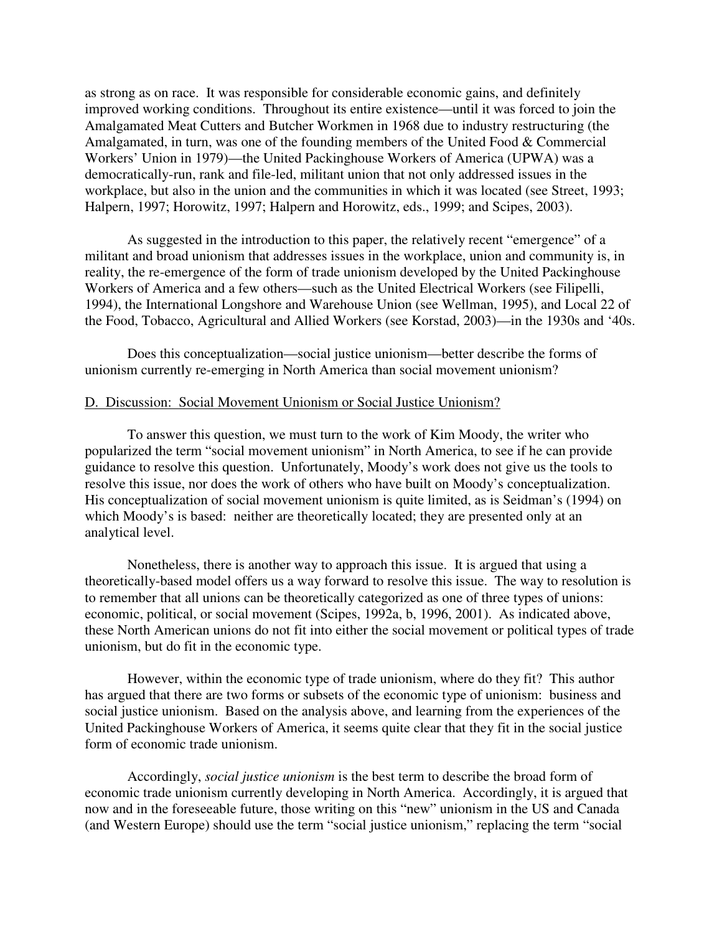as strong as on race. It was responsible for considerable economic gains, and definitely improved working conditions. Throughout its entire existence—until it was forced to join the Amalgamated Meat Cutters and Butcher Workmen in 1968 due to industry restructuring (the Amalgamated, in turn, was one of the founding members of the United Food & Commercial Workers' Union in 1979)—the United Packinghouse Workers of America (UPWA) was a democratically-run, rank and file-led, militant union that not only addressed issues in the workplace, but also in the union and the communities in which it was located (see Street, 1993; Halpern, 1997; Horowitz, 1997; Halpern and Horowitz, eds., 1999; and Scipes, 2003).

As suggested in the introduction to this paper, the relatively recent "emergence" of a militant and broad unionism that addresses issues in the workplace, union and community is, in reality, the re-emergence of the form of trade unionism developed by the United Packinghouse Workers of America and a few others—such as the United Electrical Workers (see Filipelli, 1994), the International Longshore and Warehouse Union (see Wellman, 1995), and Local 22 of the Food, Tobacco, Agricultural and Allied Workers (see Korstad, 2003)—in the 1930s and '40s.

Does this conceptualization—social justice unionism—better describe the forms of unionism currently re-emerging in North America than social movement unionism?

#### D. Discussion: Social Movement Unionism or Social Justice Unionism?

To answer this question, we must turn to the work of Kim Moody, the writer who popularized the term "social movement unionism" in North America, to see if he can provide guidance to resolve this question. Unfortunately, Moody's work does not give us the tools to resolve this issue, nor does the work of others who have built on Moody's conceptualization. His conceptualization of social movement unionism is quite limited, as is Seidman's (1994) on which Moody's is based: neither are theoretically located; they are presented only at an analytical level.

Nonetheless, there is another way to approach this issue. It is argued that using a theoretically-based model offers us a way forward to resolve this issue. The way to resolution is to remember that all unions can be theoretically categorized as one of three types of unions: economic, political, or social movement (Scipes, 1992a, b, 1996, 2001). As indicated above, these North American unions do not fit into either the social movement or political types of trade unionism, but do fit in the economic type.

However, within the economic type of trade unionism, where do they fit? This author has argued that there are two forms or subsets of the economic type of unionism: business and social justice unionism. Based on the analysis above, and learning from the experiences of the United Packinghouse Workers of America, it seems quite clear that they fit in the social justice form of economic trade unionism.

Accordingly, *social justice unionism* is the best term to describe the broad form of economic trade unionism currently developing in North America. Accordingly, it is argued that now and in the foreseeable future, those writing on this "new" unionism in the US and Canada (and Western Europe) should use the term "social justice unionism," replacing the term "social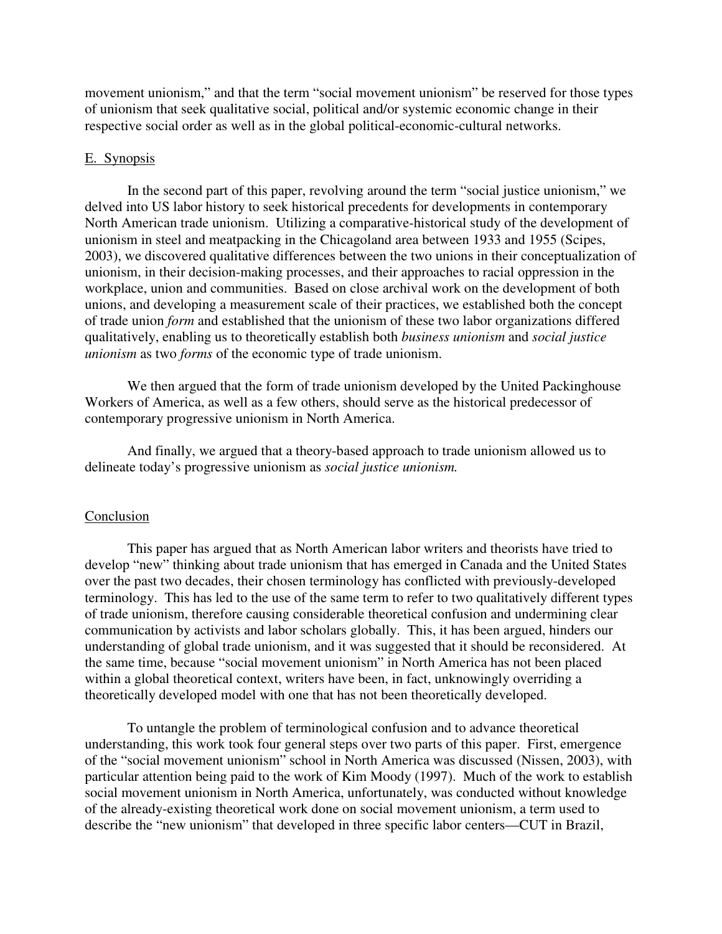movement unionism," and that the term "social movement unionism" be reserved for those types of unionism that seek qualitative social, political and/or systemic economic change in their respective social order as well as in the global political-economic-cultural networks.

#### E. Synopsis

In the second part of this paper, revolving around the term "social justice unionism," we delved into US labor history to seek historical precedents for developments in contemporary North American trade unionism. Utilizing a comparative-historical study of the development of unionism in steel and meatpacking in the Chicagoland area between 1933 and 1955 (Scipes, 2003), we discovered qualitative differences between the two unions in their conceptualization of unionism, in their decision-making processes, and their approaches to racial oppression in the workplace, union and communities. Based on close archival work on the development of both unions, and developing a measurement scale of their practices, we established both the concept of trade union *form* and established that the unionism of these two labor organizations differed qualitatively, enabling us to theoretically establish both *business unionism* and *social justice unionism* as two *forms* of the economic type of trade unionism.

We then argued that the form of trade unionism developed by the United Packinghouse Workers of America, as well as a few others, should serve as the historical predecessor of contemporary progressive unionism in North America.

And finally, we argued that a theory-based approach to trade unionism allowed us to delineate today's progressive unionism as *social justice unionism.*

#### Conclusion

This paper has argued that as North American labor writers and theorists have tried to develop "new" thinking about trade unionism that has emerged in Canada and the United States over the past two decades, their chosen terminology has conflicted with previously-developed terminology. This has led to the use of the same term to refer to two qualitatively different types of trade unionism, therefore causing considerable theoretical confusion and undermining clear communication by activists and labor scholars globally. This, it has been argued, hinders our understanding of global trade unionism, and it was suggested that it should be reconsidered. At the same time, because "social movement unionism" in North America has not been placed within a global theoretical context, writers have been, in fact, unknowingly overriding a theoretically developed model with one that has not been theoretically developed.

To untangle the problem of terminological confusion and to advance theoretical understanding, this work took four general steps over two parts of this paper. First, emergence of the "social movement unionism" school in North America was discussed (Nissen, 2003), with particular attention being paid to the work of Kim Moody (1997). Much of the work to establish social movement unionism in North America, unfortunately, was conducted without knowledge of the already-existing theoretical work done on social movement unionism, a term used to describe the "new unionism" that developed in three specific labor centers—CUT in Brazil,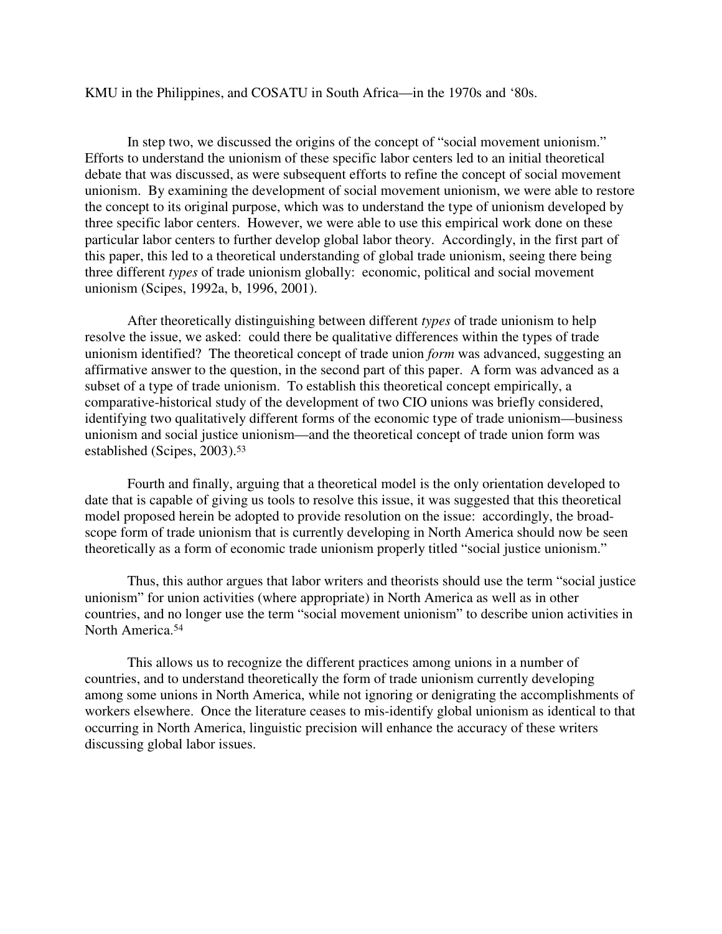#### KMU in the Philippines, and COSATU in South Africa—in the 1970s and '80s.

In step two, we discussed the origins of the concept of "social movement unionism." Efforts to understand the unionism of these specific labor centers led to an initial theoretical debate that was discussed, as were subsequent efforts to refine the concept of social movement unionism. By examining the development of social movement unionism, we were able to restore the concept to its original purpose, which was to understand the type of unionism developed by three specific labor centers. However, we were able to use this empirical work done on these particular labor centers to further develop global labor theory. Accordingly, in the first part of this paper, this led to a theoretical understanding of global trade unionism, seeing there being three different *types* of trade unionism globally: economic, political and social movement unionism (Scipes, 1992a, b, 1996, 2001).

After theoretically distinguishing between different *types* of trade unionism to help resolve the issue, we asked: could there be qualitative differences within the types of trade unionism identified? The theoretical concept of trade union *form* was advanced, suggesting an affirmative answer to the question, in the second part of this paper. A form was advanced as a subset of a type of trade unionism. To establish this theoretical concept empirically, a comparative-historical study of the development of two CIO unions was briefly considered, identifying two qualitatively different forms of the economic type of trade unionism—business unionism and social justice unionism—and the theoretical concept of trade union form was established (Scipes, 2003).<sup>53</sup>

Fourth and finally, arguing that a theoretical model is the only orientation developed to date that is capable of giving us tools to resolve this issue, it was suggested that this theoretical model proposed herein be adopted to provide resolution on the issue: accordingly, the broadscope form of trade unionism that is currently developing in North America should now be seen theoretically as a form of economic trade unionism properly titled "social justice unionism."

Thus, this author argues that labor writers and theorists should use the term "social justice unionism" for union activities (where appropriate) in North America as well as in other countries, and no longer use the term "social movement unionism" to describe union activities in North America.<sup>54</sup>

This allows us to recognize the different practices among unions in a number of countries, and to understand theoretically the form of trade unionism currently developing among some unions in North America, while not ignoring or denigrating the accomplishments of workers elsewhere. Once the literature ceases to mis-identify global unionism as identical to that occurring in North America, linguistic precision will enhance the accuracy of these writers discussing global labor issues.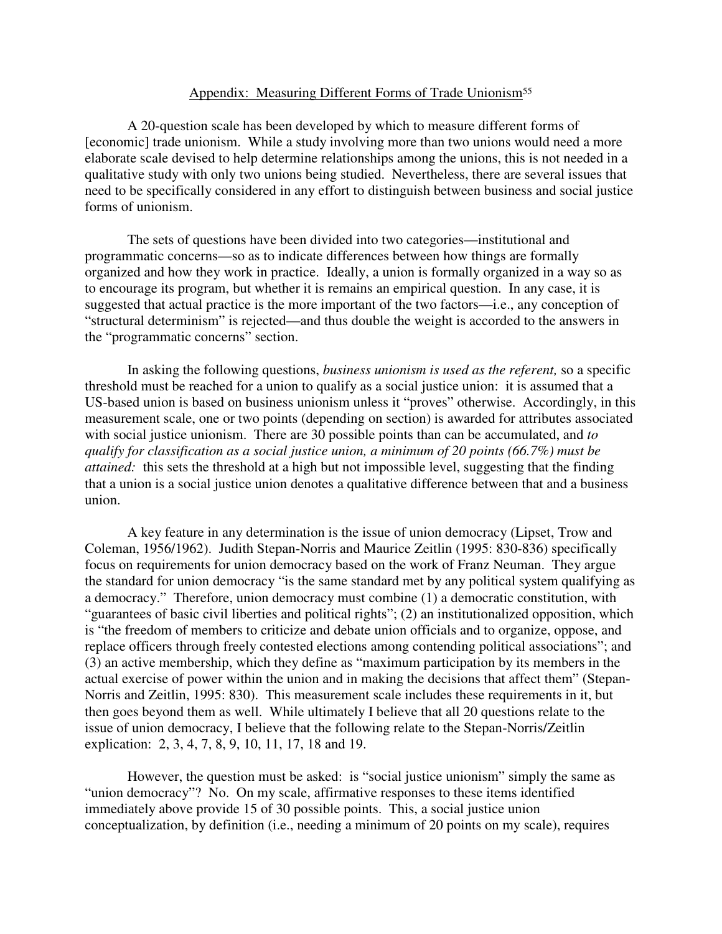# Appendix: Measuring Different Forms of Trade Unionism<sup>55</sup>

A 20-question scale has been developed by which to measure different forms of [economic] trade unionism. While a study involving more than two unions would need a more elaborate scale devised to help determine relationships among the unions, this is not needed in a qualitative study with only two unions being studied. Nevertheless, there are several issues that need to be specifically considered in any effort to distinguish between business and social justice forms of unionism.

The sets of questions have been divided into two categories—institutional and programmatic concerns—so as to indicate differences between how things are formally organized and how they work in practice. Ideally, a union is formally organized in a way so as to encourage its program, but whether it is remains an empirical question. In any case, it is suggested that actual practice is the more important of the two factors—i.e., any conception of "structural determinism" is rejected—and thus double the weight is accorded to the answers in the "programmatic concerns" section.

In asking the following questions, *business unionism is used as the referent,* so a specific threshold must be reached for a union to qualify as a social justice union: it is assumed that a US-based union is based on business unionism unless it "proves" otherwise. Accordingly, in this measurement scale, one or two points (depending on section) is awarded for attributes associated with social justice unionism. There are 30 possible points than can be accumulated, and *to qualify for classification as a social justice union, a minimum of 20 points (66.7%) must be attained:* this sets the threshold at a high but not impossible level, suggesting that the finding that a union is a social justice union denotes a qualitative difference between that and a business union.

A key feature in any determination is the issue of union democracy (Lipset, Trow and Coleman, 1956/1962). Judith Stepan-Norris and Maurice Zeitlin (1995: 830-836) specifically focus on requirements for union democracy based on the work of Franz Neuman. They argue the standard for union democracy "is the same standard met by any political system qualifying as a democracy." Therefore, union democracy must combine (1) a democratic constitution, with "guarantees of basic civil liberties and political rights"; (2) an institutionalized opposition, which is "the freedom of members to criticize and debate union officials and to organize, oppose, and replace officers through freely contested elections among contending political associations"; and (3) an active membership, which they define as "maximum participation by its members in the actual exercise of power within the union and in making the decisions that affect them" (Stepan-Norris and Zeitlin, 1995: 830). This measurement scale includes these requirements in it, but then goes beyond them as well. While ultimately I believe that all 20 questions relate to the issue of union democracy, I believe that the following relate to the Stepan-Norris/Zeitlin explication: 2, 3, 4, 7, 8, 9, 10, 11, 17, 18 and 19.

However, the question must be asked: is "social justice unionism" simply the same as "union democracy"? No. On my scale, affirmative responses to these items identified immediately above provide 15 of 30 possible points. This, a social justice union conceptualization, by definition (i.e., needing a minimum of 20 points on my scale), requires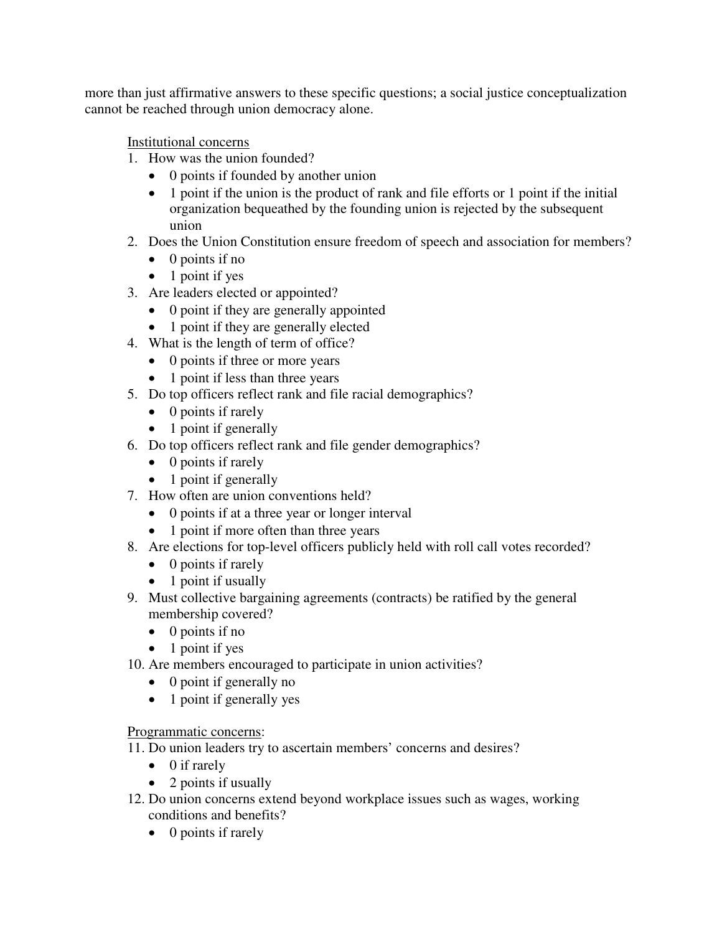more than just affirmative answers to these specific questions; a social justice conceptualization cannot be reached through union democracy alone.

Institutional concerns

- 1. How was the union founded?
	- 0 points if founded by another union
	- 1 point if the union is the product of rank and file efforts or 1 point if the initial organization bequeathed by the founding union is rejected by the subsequent union
- 2. Does the Union Constitution ensure freedom of speech and association for members?
	- $\bullet$  0 points if no
	- $\bullet$  1 point if yes
- 3. Are leaders elected or appointed?
	- 0 point if they are generally appointed
	- 1 point if they are generally elected
- 4. What is the length of term of office?
	- 0 points if three or more years
	- 1 point if less than three years
- 5. Do top officers reflect rank and file racial demographics?
	- 0 points if rarely
	- 1 point if generally
- 6. Do top officers reflect rank and file gender demographics?
	- 0 points if rarely
	- 1 point if generally
- 7. How often are union conventions held?
	- 0 points if at a three year or longer interval
	- 1 point if more often than three years
- 8. Are elections for top-level officers publicly held with roll call votes recorded?
	- 0 points if rarely
	- $\bullet$  1 point if usually
- 9. Must collective bargaining agreements (contracts) be ratified by the general membership covered?
	- $\bullet$  0 points if no
	- $\bullet$  1 point if yes
- 10. Are members encouraged to participate in union activities?
	- 0 point if generally no
	- 1 point if generally yes

# Programmatic concerns:

- 11. Do union leaders try to ascertain members' concerns and desires?
	- 0 if rarely
	- 2 points if usually
- 12. Do union concerns extend beyond workplace issues such as wages, working conditions and benefits?
	- 0 points if rarely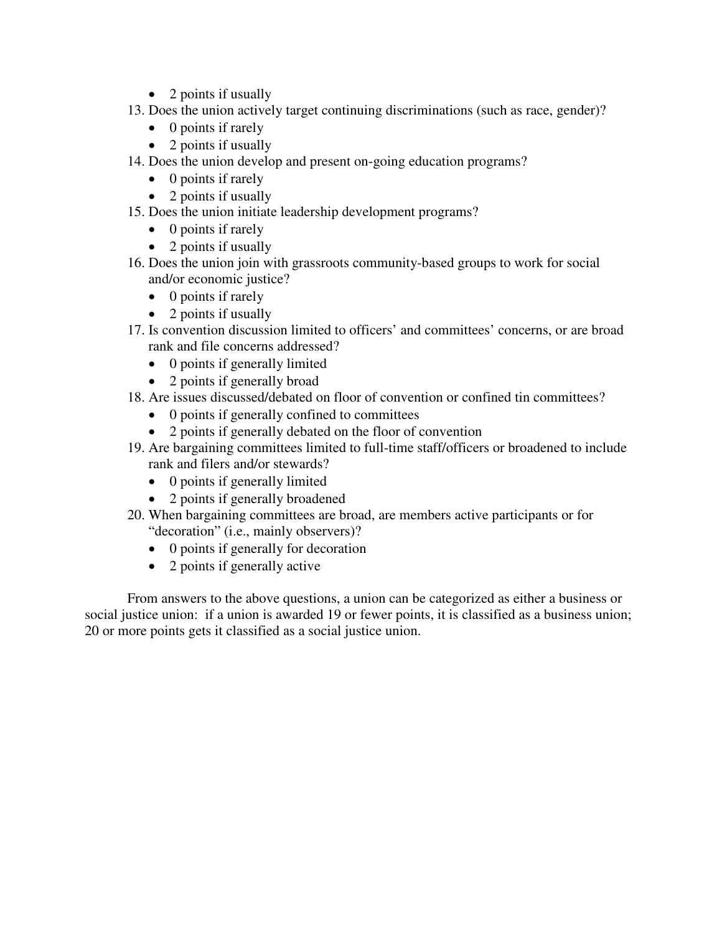- 2 points if usually
- 13. Does the union actively target continuing discriminations (such as race, gender)?
	- 0 points if rarely
	- 2 points if usually
- 14. Does the union develop and present on-going education programs?
	- 0 points if rarely
	- 2 points if usually
- 15. Does the union initiate leadership development programs?
	- 0 points if rarely
	- 2 points if usually
- 16. Does the union join with grassroots community-based groups to work for social and/or economic justice?
	- 0 points if rarely
	- 2 points if usually
- 17. Is convention discussion limited to officers' and committees' concerns, or are broad rank and file concerns addressed?
	- 0 points if generally limited
	- 2 points if generally broad
- 18. Are issues discussed/debated on floor of convention or confined tin committees?
	- 0 points if generally confined to committees
	- 2 points if generally debated on the floor of convention
- 19. Are bargaining committees limited to full-time staff/officers or broadened to include rank and filers and/or stewards?
	- 0 points if generally limited
	- 2 points if generally broadened
- 20. When bargaining committees are broad, are members active participants or for "decoration" (i.e., mainly observers)?
	- 0 points if generally for decoration
	- 2 points if generally active

From answers to the above questions, a union can be categorized as either a business or social justice union: if a union is awarded 19 or fewer points, it is classified as a business union; 20 or more points gets it classified as a social justice union.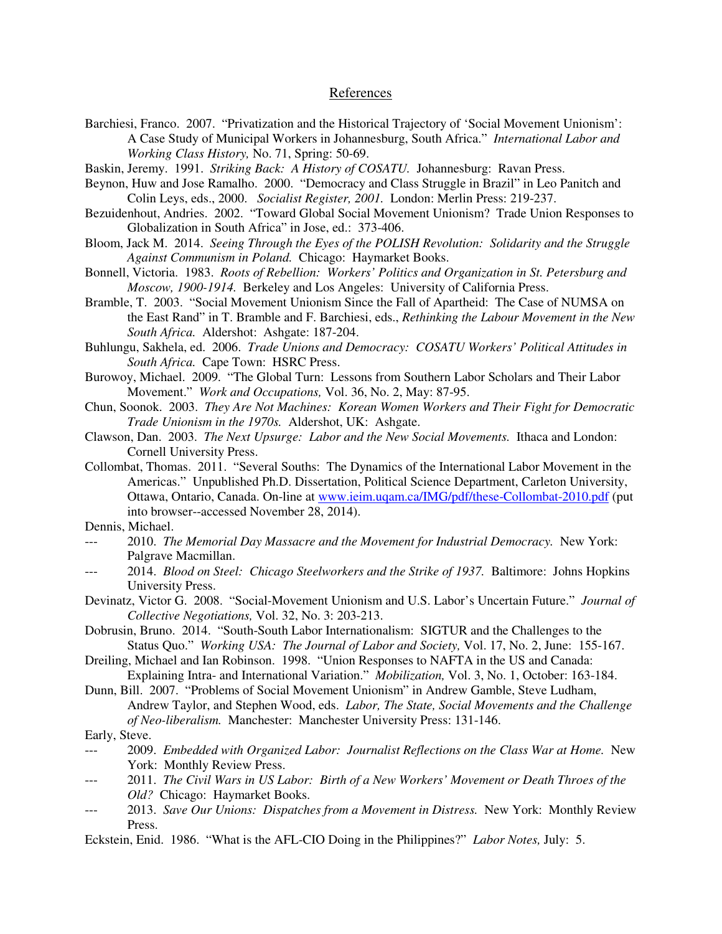#### References

- Barchiesi, Franco. 2007. "Privatization and the Historical Trajectory of 'Social Movement Unionism': A Case Study of Municipal Workers in Johannesburg, South Africa." *International Labor and Working Class History,* No. 71, Spring: 50-69.
- Baskin, Jeremy. 1991. *Striking Back: A History of COSATU.* Johannesburg: Ravan Press.
- Beynon, Huw and Jose Ramalho. 2000. "Democracy and Class Struggle in Brazil" in Leo Panitch and Colin Leys, eds., 2000. *Socialist Register, 2001.* London: Merlin Press: 219-237.
- Bezuidenhout, Andries. 2002. "Toward Global Social Movement Unionism? Trade Union Responses to Globalization in South Africa" in Jose, ed.: 373-406.
- Bloom, Jack M. 2014. *Seeing Through the Eyes of the POLISH Revolution: Solidarity and the Struggle Against Communism in Poland.* Chicago: Haymarket Books.
- Bonnell, Victoria. 1983. *Roots of Rebellion: Workers' Politics and Organization in St. Petersburg and Moscow, 1900-1914.* Berkeley and Los Angeles: University of California Press.
- Bramble, T. 2003. "Social Movement Unionism Since the Fall of Apartheid: The Case of NUMSA on the East Rand" in T. Bramble and F. Barchiesi, eds., *Rethinking the Labour Movement in the New South Africa.* Aldershot: Ashgate: 187-204.
- Buhlungu, Sakhela, ed. 2006. *Trade Unions and Democracy: COSATU Workers' Political Attitudes in South Africa.* Cape Town: HSRC Press.
- Burowoy, Michael. 2009. "The Global Turn: Lessons from Southern Labor Scholars and Their Labor Movement." *Work and Occupations,* Vol. 36, No. 2, May: 87-95.
- Chun, Soonok. 2003. *They Are Not Machines: Korean Women Workers and Their Fight for Democratic Trade Unionism in the 1970s.* Aldershot, UK: Ashgate.
- Clawson, Dan. 2003. *The Next Upsurge: Labor and the New Social Movements.* Ithaca and London: Cornell University Press.
- Collombat, Thomas. 2011. "Several Souths: The Dynamics of the International Labor Movement in the Americas." Unpublished Ph.D. Dissertation, Political Science Department, Carleton University, Ottawa, Ontario, Canada. On-line at www.ieim.uqam.ca/IMG/pdf/these-Collombat-2010.pdf (put into browser--accessed November 28, 2014).
- Dennis, Michael.
- --- 2010. *The Memorial Day Massacre and the Movement for Industrial Democracy.* New York: Palgrave Macmillan.
- --- 2014. *Blood on Steel: Chicago Steelworkers and the Strike of 1937.* Baltimore: Johns Hopkins University Press.
- Devinatz, Victor G. 2008. "Social-Movement Unionism and U.S. Labor's Uncertain Future." *Journal of Collective Negotiations,* Vol. 32, No. 3: 203-213.
- Dobrusin, Bruno. 2014. "South-South Labor Internationalism: SIGTUR and the Challenges to the Status Quo." *Working USA: The Journal of Labor and Society,* Vol. 17, No. 2, June: 155-167.
- Dreiling, Michael and Ian Robinson. 1998. "Union Responses to NAFTA in the US and Canada: Explaining Intra- and International Variation." *Mobilization,* Vol. 3, No. 1, October: 163-184.
- Dunn, Bill. 2007. "Problems of Social Movement Unionism" in Andrew Gamble, Steve Ludham, Andrew Taylor, and Stephen Wood, eds. *Labor, The State, Social Movements and the Challenge of Neo-liberalism.* Manchester: Manchester University Press: 131-146.
- Early, Steve.
- --- 2009. *Embedded with Organized Labor: Journalist Reflections on the Class War at Home.* New York: Monthly Review Press.
- --- 2011. *The Civil Wars in US Labor: Birth of a New Workers' Movement or Death Throes of the Old?* Chicago: Haymarket Books.
- 2013. *Save Our Unions: Dispatches from a Movement in Distress.* New York: Monthly Review Press.
- Eckstein, Enid. 1986. "What is the AFL-CIO Doing in the Philippines?" *Labor Notes,* July: 5.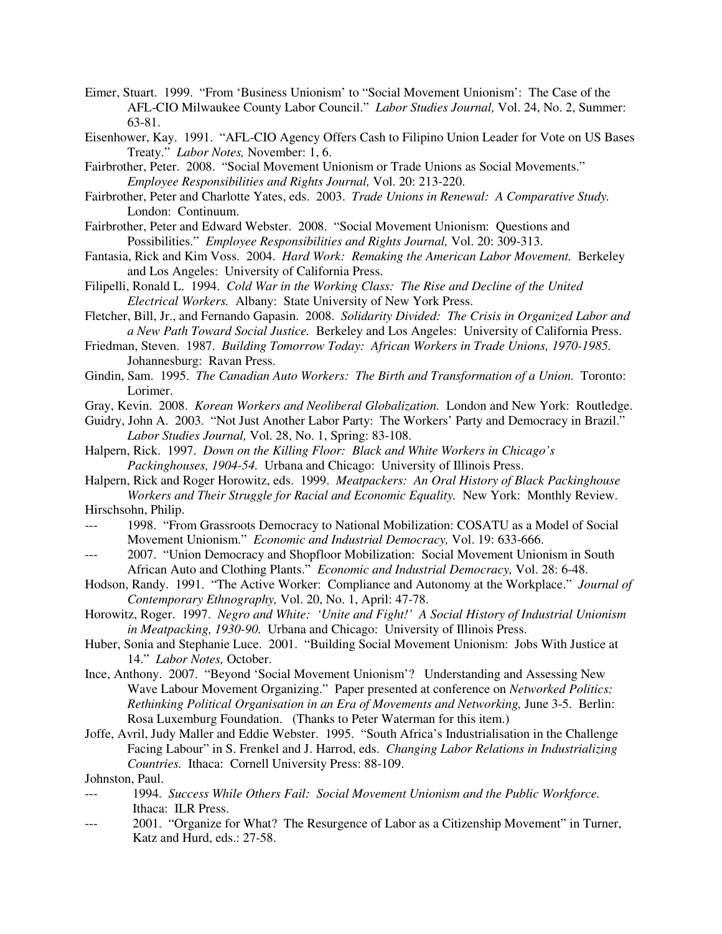- Eimer, Stuart. 1999. "From 'Business Unionism' to "Social Movement Unionism': The Case of the AFL-CIO Milwaukee County Labor Council." *Labor Studies Journal,* Vol. 24, No. 2, Summer: 63-81.
- Eisenhower, Kay. 1991. "AFL-CIO Agency Offers Cash to Filipino Union Leader for Vote on US Bases Treaty." *Labor Notes,* November: 1, 6.
- Fairbrother, Peter. 2008. "Social Movement Unionism or Trade Unions as Social Movements." *Employee Responsibilities and Rights Journal,* Vol. 20: 213-220.
- Fairbrother, Peter and Charlotte Yates, eds. 2003. *Trade Unions in Renewal: A Comparative Study.* London: Continuum.
- Fairbrother, Peter and Edward Webster. 2008. "Social Movement Unionism: Questions and Possibilities." *Employee Responsibilities and Rights Journal,* Vol. 20: 309-313.
- Fantasia, Rick and Kim Voss. 2004. *Hard Work: Remaking the American Labor Movement.* Berkeley and Los Angeles: University of California Press.
- Filipelli, Ronald L. 1994. *Cold War in the Working Class: The Rise and Decline of the United Electrical Workers.* Albany: State University of New York Press.
- Fletcher, Bill, Jr., and Fernando Gapasin. 2008. *Solidarity Divided: The Crisis in Organized Labor and a New Path Toward Social Justice.* Berkeley and Los Angeles: University of California Press.
- Friedman, Steven. 1987. *Building Tomorrow Today: African Workers in Trade Unions, 1970-1985.* Johannesburg: Ravan Press.
- Gindin, Sam. 1995. *The Canadian Auto Workers: The Birth and Transformation of a Union.* Toronto: Lorimer.
- Gray, Kevin. 2008. *Korean Workers and Neoliberal Globalization.* London and New York: Routledge.
- Guidry, John A. 2003. "Not Just Another Labor Party: The Workers' Party and Democracy in Brazil." *Labor Studies Journal,* Vol. 28, No. 1, Spring: 83-108.
- Halpern, Rick. 1997. *Down on the Killing Floor: Black and White Workers in Chicago's Packinghouses, 1904-54.* Urbana and Chicago: University of Illinois Press.
- Halpern, Rick and Roger Horowitz, eds. 1999. *Meatpackers: An Oral History of Black Packinghouse Workers and Their Struggle for Racial and Economic Equality.* New York: Monthly Review. Hirschsohn, Philip.
- --- 1998. "From Grassroots Democracy to National Mobilization: COSATU as a Model of Social Movement Unionism." *Economic and Industrial Democracy,* Vol. 19: 633-666.
- --- 2007. "Union Democracy and Shopfloor Mobilization: Social Movement Unionism in South African Auto and Clothing Plants." *Economic and Industrial Democracy,* Vol. 28: 6-48.
- Hodson, Randy. 1991. "The Active Worker: Compliance and Autonomy at the Workplace." *Journal of Contemporary Ethnography,* Vol. 20, No. 1, April: 47-78.
- Horowitz, Roger. 1997. *Negro and White: 'Unite and Fight!' A Social History of Industrial Unionism in Meatpacking, 1930-90.* Urbana and Chicago: University of Illinois Press.
- Huber, Sonia and Stephanie Luce. 2001. "Building Social Movement Unionism: Jobs With Justice at 14." *Labor Notes,* October.
- Ince, Anthony. 2007. "Beyond 'Social Movement Unionism'? Understanding and Assessing New Wave Labour Movement Organizing." Paper presented at conference on *Networked Politics: Rethinking Political Organisation in an Era of Movements and Networking,* June 3-5. Berlin: Rosa Luxemburg Foundation. (Thanks to Peter Waterman for this item.)
- Joffe, Avril, Judy Maller and Eddie Webster. 1995. "South Africa's Industrialisation in the Challenge Facing Labour" in S. Frenkel and J. Harrod, eds. *Changing Labor Relations in Industrializing Countries.* Ithaca: Cornell University Press: 88-109.
- Johnston, Paul.
- --- 1994. *Success While Others Fail: Social Movement Unionism and the Public Workforce.* Ithaca: ILR Press.
- 2001. "Organize for What? The Resurgence of Labor as a Citizenship Movement" in Turner, Katz and Hurd, eds.: 27-58.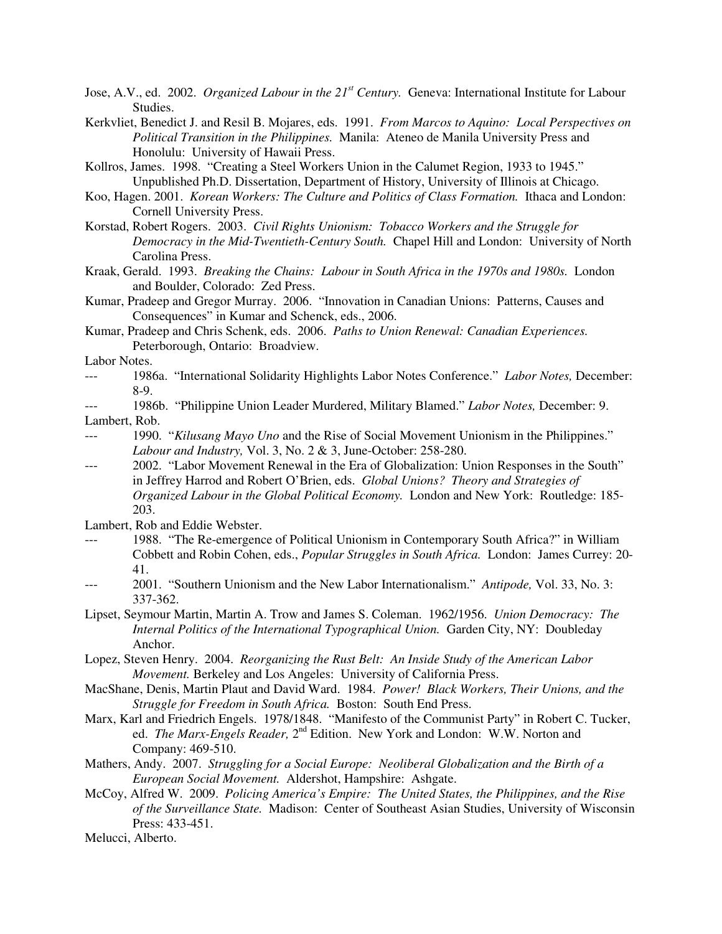- Jose, A.V., ed. 2002. *Organized Labour in the 21st Century.* Geneva: International Institute for Labour Studies.
- Kerkvliet, Benedict J. and Resil B. Mojares, eds. 1991. *From Marcos to Aquino: Local Perspectives on Political Transition in the Philippines.* Manila: Ateneo de Manila University Press and Honolulu: University of Hawaii Press.
- Kollros, James. 1998. "Creating a Steel Workers Union in the Calumet Region, 1933 to 1945." Unpublished Ph.D. Dissertation, Department of History, University of Illinois at Chicago.
- Koo, Hagen. 2001. *Korean Workers: The Culture and Politics of Class Formation.* Ithaca and London: Cornell University Press.
- Korstad, Robert Rogers. 2003. *Civil Rights Unionism: Tobacco Workers and the Struggle for Democracy in the Mid-Twentieth-Century South.* Chapel Hill and London: University of North Carolina Press.
- Kraak, Gerald. 1993. *Breaking the Chains: Labour in South Africa in the 1970s and 1980s.* London and Boulder, Colorado: Zed Press.
- Kumar, Pradeep and Gregor Murray. 2006. "Innovation in Canadian Unions: Patterns, Causes and Consequences" in Kumar and Schenck, eds., 2006.
- Kumar, Pradeep and Chris Schenk, eds. 2006. *Paths to Union Renewal: Canadian Experiences.* Peterborough, Ontario: Broadview.

Labor Notes.

- --- 1986a. "International Solidarity Highlights Labor Notes Conference." *Labor Notes,* December: 8-9.
- --- 1986b. "Philippine Union Leader Murdered, Military Blamed." *Labor Notes,* December: 9. Lambert, Rob.
- 1990. "*Kilusang Mayo Uno* and the Rise of Social Movement Unionism in the Philippines." *Labour and Industry,* Vol. 3, No. 2 & 3, June-October: 258-280.
- 2002. "Labor Movement Renewal in the Era of Globalization: Union Responses in the South" in Jeffrey Harrod and Robert O'Brien, eds. *Global Unions? Theory and Strategies of Organized Labour in the Global Political Economy.* London and New York: Routledge: 185- 203.

Lambert, Rob and Eddie Webster.

- --- 1988. "The Re-emergence of Political Unionism in Contemporary South Africa?" in William Cobbett and Robin Cohen, eds., *Popular Struggles in South Africa.* London: James Currey: 20- 41.
- 2001. "Southern Unionism and the New Labor Internationalism." *Antipode*, Vol. 33, No. 3: 337-362.
- Lipset, Seymour Martin, Martin A. Trow and James S. Coleman. 1962/1956. *Union Democracy: The Internal Politics of the International Typographical Union.* Garden City, NY: Doubleday Anchor.
- Lopez, Steven Henry. 2004. *Reorganizing the Rust Belt: An Inside Study of the American Labor Movement.* Berkeley and Los Angeles: University of California Press.
- MacShane, Denis, Martin Plaut and David Ward. 1984. *Power! Black Workers, Their Unions, and the Struggle for Freedom in South Africa.* Boston: South End Press.
- Marx, Karl and Friedrich Engels. 1978/1848. "Manifesto of the Communist Party" in Robert C. Tucker, ed. *The Marx-Engels Reader*, 2<sup>nd</sup> Edition. New York and London: W.W. Norton and Company: 469-510.
- Mathers, Andy. 2007. *Struggling for a Social Europe: Neoliberal Globalization and the Birth of a European Social Movement.* Aldershot, Hampshire: Ashgate.
- McCoy, Alfred W. 2009. *Policing America's Empire: The United States, the Philippines, and the Rise of the Surveillance State.* Madison: Center of Southeast Asian Studies, University of Wisconsin Press: 433-451.

Melucci, Alberto.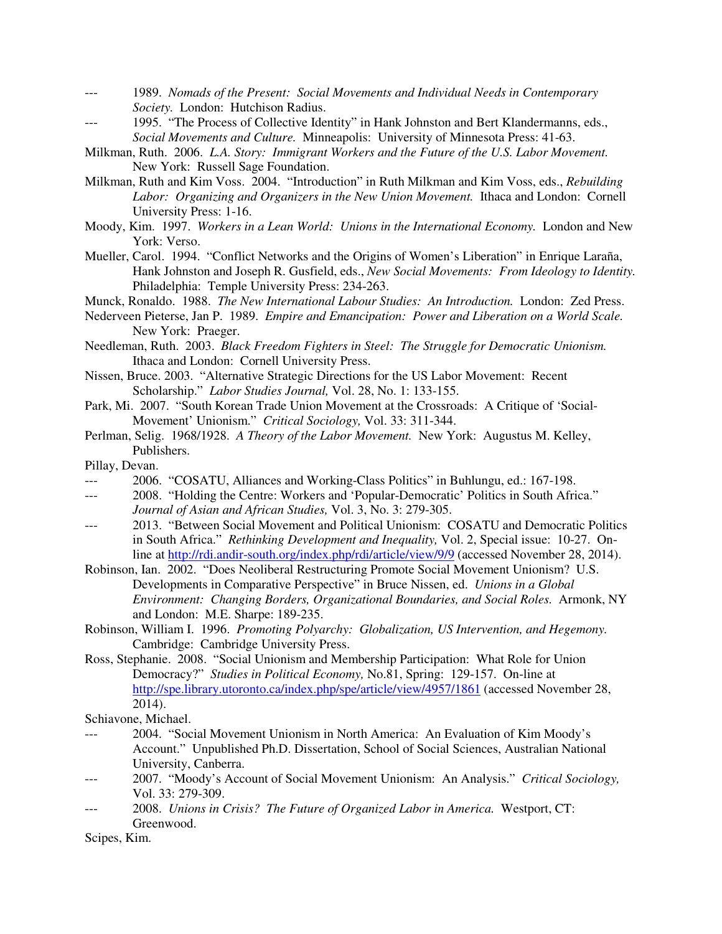- --- 1989. *Nomads of the Present: Social Movements and Individual Needs in Contemporary Society.* London: Hutchison Radius.
- 1995. "The Process of Collective Identity" in Hank Johnston and Bert Klandermanns, eds., *Social Movements and Culture.* Minneapolis: University of Minnesota Press: 41-63.
- Milkman, Ruth. 2006. *L.A. Story: Immigrant Workers and the Future of the U.S. Labor Movement.* New York: Russell Sage Foundation.
- Milkman, Ruth and Kim Voss. 2004. "Introduction" in Ruth Milkman and Kim Voss, eds., *Rebuilding Labor: Organizing and Organizers in the New Union Movement.* Ithaca and London: Cornell University Press: 1-16.
- Moody, Kim. 1997. *Workers in a Lean World: Unions in the International Economy.* London and New York: Verso.
- Mueller, Carol. 1994. "Conflict Networks and the Origins of Women's Liberation" in Enrique Laraña, Hank Johnston and Joseph R. Gusfield, eds., *New Social Movements: From Ideology to Identity.* Philadelphia: Temple University Press: 234-263.

Munck, Ronaldo. 1988. *The New International Labour Studies: An Introduction.* London: Zed Press.

- Nederveen Pieterse, Jan P. 1989. *Empire and Emancipation: Power and Liberation on a World Scale.*  New York: Praeger.
- Needleman, Ruth. 2003. *Black Freedom Fighters in Steel: The Struggle for Democratic Unionism.* Ithaca and London: Cornell University Press.
- Nissen, Bruce. 2003. "Alternative Strategic Directions for the US Labor Movement: Recent Scholarship." *Labor Studies Journal,* Vol. 28, No. 1: 133-155.
- Park, Mi. 2007. "South Korean Trade Union Movement at the Crossroads: A Critique of 'Social-Movement' Unionism." *Critical Sociology,* Vol. 33: 311-344.
- Perlman, Selig. 1968/1928. *A Theory of the Labor Movement.* New York: Augustus M. Kelley, Publishers.
- Pillay, Devan.
- --- 2006. "COSATU, Alliances and Working-Class Politics" in Buhlungu, ed.: 167-198.
- --- 2008. "Holding the Centre: Workers and 'Popular-Democratic' Politics in South Africa." *Journal of Asian and African Studies,* Vol. 3, No. 3: 279-305.
- 2013. "Between Social Movement and Political Unionism: COSATU and Democratic Politics in South Africa." *Rethinking Development and Inequality,* Vol. 2, Special issue: 10-27. Online at http://rdi.andir-south.org/index.php/rdi/article/view/9/9 (accessed November 28, 2014).
- Robinson, Ian. 2002. "Does Neoliberal Restructuring Promote Social Movement Unionism? U.S. Developments in Comparative Perspective" in Bruce Nissen, ed. *Unions in a Global Environment: Changing Borders, Organizational Boundaries, and Social Roles.* Armonk, NY and London: M.E. Sharpe: 189-235.
- Robinson, William I. 1996. *Promoting Polyarchy: Globalization, US Intervention, and Hegemony.* Cambridge: Cambridge University Press.
- Ross, Stephanie. 2008. "Social Unionism and Membership Participation: What Role for Union Democracy?" *Studies in Political Economy,* No.81, Spring: 129-157. On-line at http://spe.library.utoronto.ca/index.php/spe/article/view/4957/1861 (accessed November 28, 2014).

Schiavone, Michael.

- 2004. "Social Movement Unionism in North America: An Evaluation of Kim Moody's Account." Unpublished Ph.D. Dissertation, School of Social Sciences, Australian National University, Canberra.
- 2007. "Moody's Account of Social Movement Unionism: An Analysis." *Critical Sociology*, Vol. 33: 279-309.
- 2008. *Unions in Crisis? The Future of Organized Labor in America.* Westport, CT: Greenwood.

Scipes, Kim.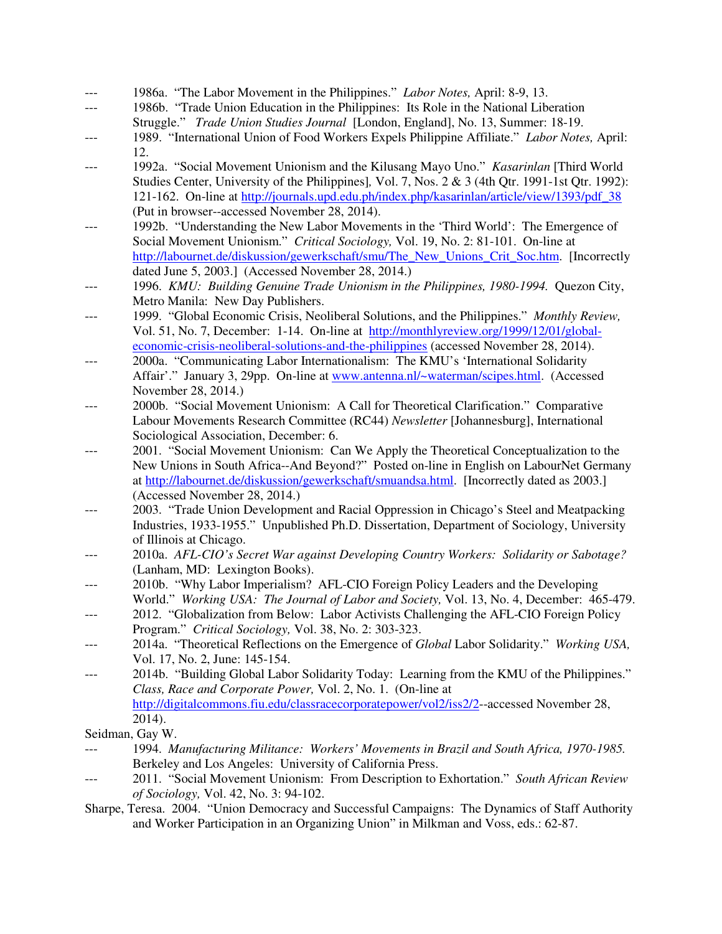- --- 1986a. "The Labor Movement in the Philippines." *Labor Notes,* April: 8-9, 13.
- --- 1986b. "Trade Union Education in the Philippines: Its Role in the National Liberation Struggle." *Trade Union Studies Journal* [London, England], No. 13, Summer: 18-19.
- 1989. "International Union of Food Workers Expels Philippine Affiliate." *Labor Notes*, April: 12.
- 1992a. "Social Movement Unionism and the Kilusang Mayo Uno." *Kasarinlan* [Third World Studies Center, University of the Philippines], Vol. 7, Nos. 2 & 3 (4th Qtr. 1991-1st Qtr. 1992): 121-162. On-line at http://journals.upd.edu.ph/index.php/kasarinlan/article/view/1393/pdf\_38 (Put in browser--accessed November 28, 2014).
- --- 1992b. "Understanding the New Labor Movements in the 'Third World': The Emergence of Social Movement Unionism." *Critical Sociology,* Vol. 19, No. 2: 81-101. On-line at http://labournet.de/diskussion/gewerkschaft/smu/The\_New\_Unions\_Crit\_Soc.htm. [Incorrectly dated June 5, 2003.] (Accessed November 28, 2014.)
- 1996. *KMU: Building Genuine Trade Unionism in the Philippines, 1980-1994.* Quezon City, Metro Manila: New Day Publishers.
- 1999. "Global Economic Crisis, Neoliberal Solutions, and the Philippines." *Monthly Review*, Vol. 51, No. 7, December: 1-14. On-line at http://monthlyreview.org/1999/12/01/globaleconomic-crisis-neoliberal-solutions-and-the-philippines (accessed November 28, 2014).
- 2000a. "Communicating Labor Internationalism: The KMU's 'International Solidarity Affair'." January 3, 29pp. On-line at www.antenna.nl/~waterman/scipes.html. (Accessed November 28, 2014.)
- --- 2000b. "Social Movement Unionism: A Call for Theoretical Clarification." Comparative Labour Movements Research Committee (RC44) *Newsletter* [Johannesburg], International Sociological Association, December: 6.
- --- 2001. "Social Movement Unionism: Can We Apply the Theoretical Conceptualization to the New Unions in South Africa--And Beyond?" Posted on-line in English on LabourNet Germany at http://labournet.de/diskussion/gewerkschaft/smuandsa.html. [Incorrectly dated as 2003.] (Accessed November 28, 2014.)
- 2003. "Trade Union Development and Racial Oppression in Chicago's Steel and Meatpacking Industries, 1933-1955." Unpublished Ph.D. Dissertation, Department of Sociology, University of Illinois at Chicago.
- 2010a. *AFL-CIO's Secret War against Developing Country Workers: Solidarity or Sabotage?* (Lanham, MD: Lexington Books).
- 2010b. "Why Labor Imperialism? AFL-CIO Foreign Policy Leaders and the Developing World." *Working USA: The Journal of Labor and Society,* Vol. 13, No. 4, December: 465-479.
- 2012. "Globalization from Below: Labor Activists Challenging the AFL-CIO Foreign Policy Program." *Critical Sociology,* Vol. 38, No. 2: 303-323.
- --- 2014a. "Theoretical Reflections on the Emergence of *Global* Labor Solidarity." *Working USA,* Vol. 17, No. 2, June: 145-154.
- --- 2014b. "Building Global Labor Solidarity Today: Learning from the KMU of the Philippines." *Class, Race and Corporate Power,* Vol. 2, No. 1. (On-line at http://digitalcommons.fiu.edu/classracecorporatepower/vol2/iss2/2--accessed November 28, 2014).
- Seidman, Gay W.
- --- 1994. *Manufacturing Militance: Workers' Movements in Brazil and South Africa, 1970-1985.*  Berkeley and Los Angeles: University of California Press.
- --- 2011. "Social Movement Unionism: From Description to Exhortation." *South African Review of Sociology,* Vol. 42, No. 3: 94-102.
- Sharpe, Teresa. 2004. "Union Democracy and Successful Campaigns: The Dynamics of Staff Authority and Worker Participation in an Organizing Union" in Milkman and Voss, eds.: 62-87.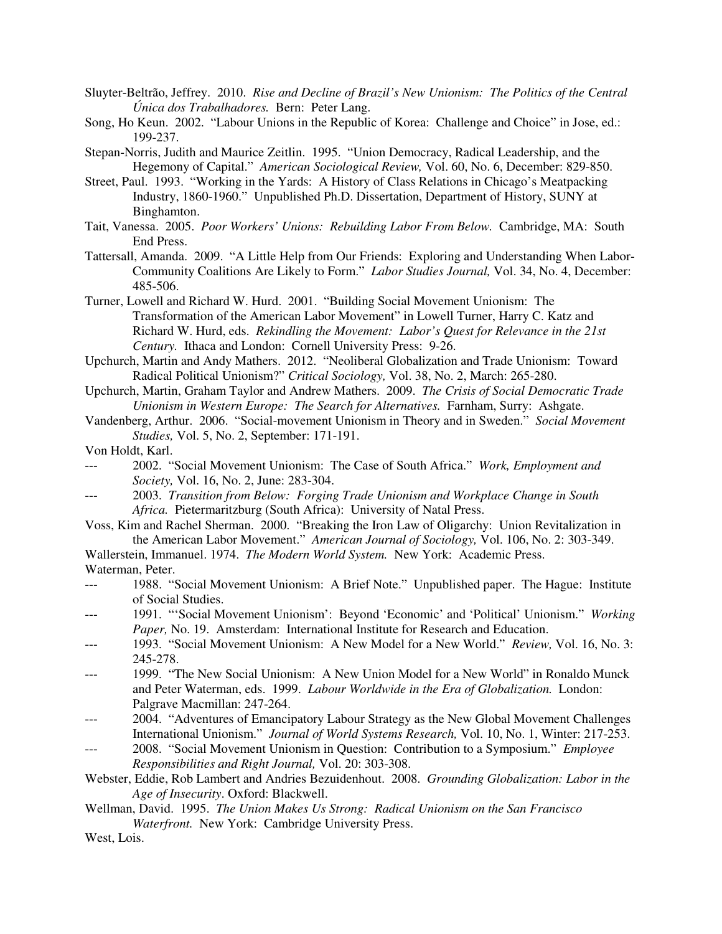- Sluyter-Beltrão, Jeffrey. 2010. *Rise and Decline of Brazil's New Unionism: The Politics of the Central Única dos Trabalhadores.* Bern: Peter Lang.
- Song, Ho Keun. 2002. "Labour Unions in the Republic of Korea: Challenge and Choice" in Jose, ed.: 199-237.
- Stepan-Norris, Judith and Maurice Zeitlin. 1995. "Union Democracy, Radical Leadership, and the Hegemony of Capital." *American Sociological Review,* Vol. 60, No. 6, December: 829-850.
- Street, Paul. 1993. "Working in the Yards: A History of Class Relations in Chicago's Meatpacking Industry, 1860-1960." Unpublished Ph.D. Dissertation, Department of History, SUNY at Binghamton.
- Tait, Vanessa. 2005. *Poor Workers' Unions: Rebuilding Labor From Below.* Cambridge, MA: South End Press.
- Tattersall, Amanda. 2009. "A Little Help from Our Friends: Exploring and Understanding When Labor-Community Coalitions Are Likely to Form." *Labor Studies Journal,* Vol. 34, No. 4, December: 485-506.
- Turner, Lowell and Richard W. Hurd. 2001. "Building Social Movement Unionism: The Transformation of the American Labor Movement" in Lowell Turner, Harry C. Katz and Richard W. Hurd, eds. *Rekindling the Movement: Labor's Quest for Relevance in the 21st Century.* Ithaca and London: Cornell University Press: 9-26.
- Upchurch, Martin and Andy Mathers. 2012. "Neoliberal Globalization and Trade Unionism: Toward Radical Political Unionism?" *Critical Sociology,* Vol. 38, No. 2, March: 265-280.
- Upchurch, Martin, Graham Taylor and Andrew Mathers. 2009. *The Crisis of Social Democratic Trade Unionism in Western Europe: The Search for Alternatives.* Farnham, Surry: Ashgate.
- Vandenberg, Arthur. 2006. "Social-movement Unionism in Theory and in Sweden." *Social Movement Studies,* Vol. 5, No. 2, September: 171-191.
- Von Holdt, Karl.
- --- 2002. "Social Movement Unionism: The Case of South Africa." *Work, Employment and Society,* Vol. 16, No. 2, June: 283-304.
- 2003. *Transition from Below: Forging Trade Unionism and Workplace Change in South Africa.* Pietermaritzburg (South Africa): University of Natal Press.
- Voss, Kim and Rachel Sherman. 2000. "Breaking the Iron Law of Oligarchy: Union Revitalization in the American Labor Movement." *American Journal of Sociology,* Vol. 106, No. 2: 303-349.

Wallerstein, Immanuel. 1974. *The Modern World System.* New York: Academic Press. Waterman, Peter.

- --- 1988. "Social Movement Unionism: A Brief Note." Unpublished paper. The Hague: Institute of Social Studies.
- 1991. "'Social Movement Unionism': Beyond 'Economic' and 'Political' Unionism." *Working Paper,* No. 19. Amsterdam: International Institute for Research and Education.
- 1993. "Social Movement Unionism: A New Model for a New World." *Review*, Vol. 16, No. 3: 245-278.
- --- 1999. "The New Social Unionism: A New Union Model for a New World" in Ronaldo Munck and Peter Waterman, eds. 1999. *Labour Worldwide in the Era of Globalization.* London: Palgrave Macmillan: 247-264.
- 2004. "Adventures of Emancipatory Labour Strategy as the New Global Movement Challenges International Unionism." *Journal of World Systems Research,* Vol. 10, No. 1, Winter: 217-253.
- --- 2008. "Social Movement Unionism in Question: Contribution to a Symposium." *Employee Responsibilities and Right Journal,* Vol. 20: 303-308.
- Webster, Eddie, Rob Lambert and Andries Bezuidenhout. 2008. *Grounding Globalization: Labor in the Age of Insecurity*. Oxford: Blackwell.
- Wellman, David. 1995. *The Union Makes Us Strong: Radical Unionism on the San Francisco Waterfront.* New York: Cambridge University Press.

West, Lois.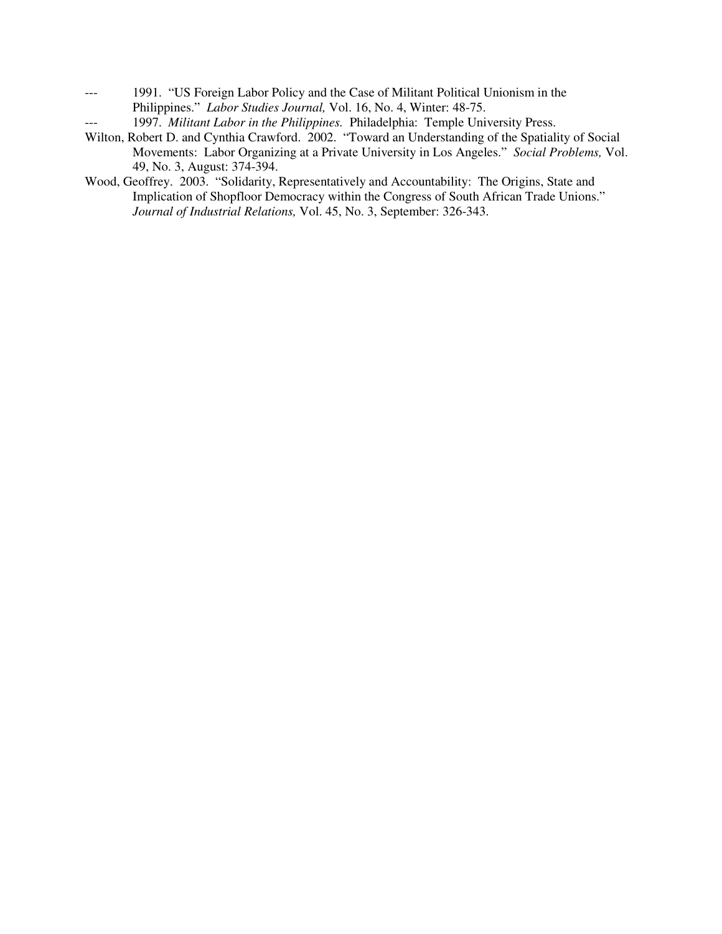- --- 1991. "US Foreign Labor Policy and the Case of Militant Political Unionism in the Philippines." *Labor Studies Journal,* Vol. 16, No. 4, Winter: 48-75.
- --- 1997. *Militant Labor in the Philippines.* Philadelphia: Temple University Press.
- Wilton, Robert D. and Cynthia Crawford. 2002. "Toward an Understanding of the Spatiality of Social Movements: Labor Organizing at a Private University in Los Angeles." *Social Problems,* Vol. 49, No. 3, August: 374-394.
- Wood, Geoffrey. 2003. "Solidarity, Representatively and Accountability: The Origins, State and Implication of Shopfloor Democracy within the Congress of South African Trade Unions." *Journal of Industrial Relations,* Vol. 45, No. 3, September: 326-343.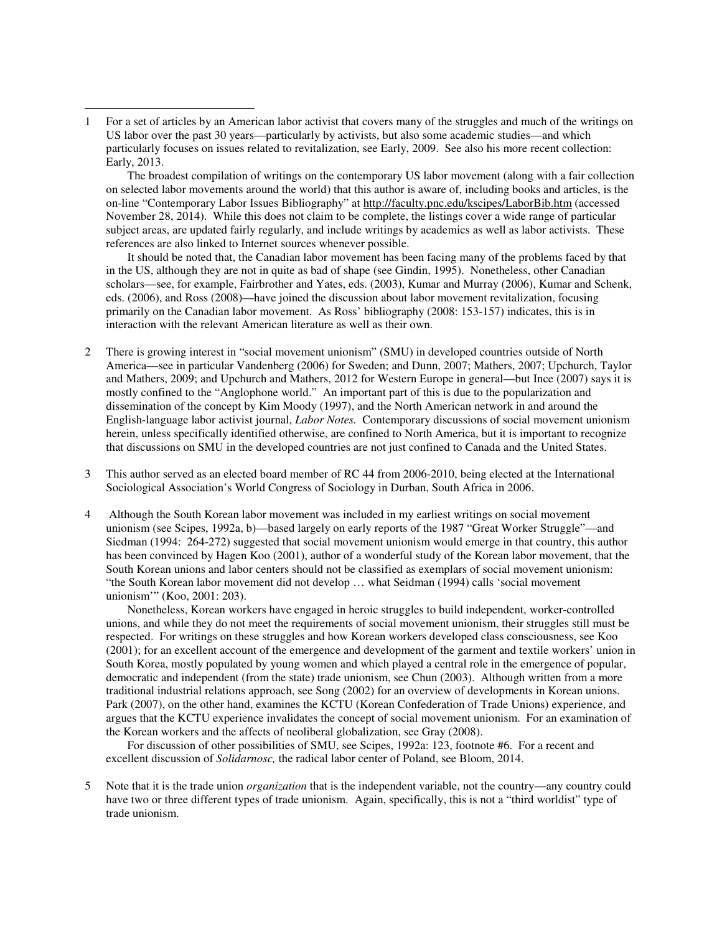1 For a set of articles by an American labor activist that covers many of the struggles and much of the writings on US labor over the past 30 years—particularly by activists, but also some academic studies—and which particularly focuses on issues related to revitalization, see Early, 2009. See also his more recent collection: Early, 2013.

 $\overline{a}$ 

 The broadest compilation of writings on the contemporary US labor movement (along with a fair collection on selected labor movements around the world) that this author is aware of, including books and articles, is the on-line "Contemporary Labor Issues Bibliography" at http://faculty.pnc.edu/kscipes/LaborBib.htm (accessed November 28, 2014). While this does not claim to be complete, the listings cover a wide range of particular subject areas, are updated fairly regularly, and include writings by academics as well as labor activists. These references are also linked to Internet sources whenever possible.

 It should be noted that, the Canadian labor movement has been facing many of the problems faced by that in the US, although they are not in quite as bad of shape (see Gindin, 1995). Nonetheless, other Canadian scholars—see, for example, Fairbrother and Yates, eds. (2003), Kumar and Murray (2006), Kumar and Schenk, eds. (2006), and Ross (2008)—have joined the discussion about labor movement revitalization, focusing primarily on the Canadian labor movement. As Ross' bibliography (2008: 153-157) indicates, this is in interaction with the relevant American literature as well as their own.

- 2 There is growing interest in "social movement unionism" (SMU) in developed countries outside of North America—see in particular Vandenberg (2006) for Sweden; and Dunn, 2007; Mathers, 2007; Upchurch, Taylor and Mathers, 2009; and Upchurch and Mathers, 2012 for Western Europe in general—but Ince (2007) says it is mostly confined to the "Anglophone world." An important part of this is due to the popularization and dissemination of the concept by Kim Moody (1997), and the North American network in and around the English-language labor activist journal, *Labor Notes.* Contemporary discussions of social movement unionism herein, unless specifically identified otherwise, are confined to North America, but it is important to recognize that discussions on SMU in the developed countries are not just confined to Canada and the United States.
- 3 This author served as an elected board member of RC 44 from 2006-2010, being elected at the International Sociological Association's World Congress of Sociology in Durban, South Africa in 2006.
- 4 Although the South Korean labor movement was included in my earliest writings on social movement unionism (see Scipes, 1992a, b)—based largely on early reports of the 1987 "Great Worker Struggle"—and Siedman (1994: 264-272) suggested that social movement unionism would emerge in that country, this author has been convinced by Hagen Koo (2001), author of a wonderful study of the Korean labor movement, that the South Korean unions and labor centers should not be classified as exemplars of social movement unionism: "the South Korean labor movement did not develop … what Seidman (1994) calls 'social movement unionism'" (Koo, 2001: 203).

 Nonetheless, Korean workers have engaged in heroic struggles to build independent, worker-controlled unions, and while they do not meet the requirements of social movement unionism, their struggles still must be respected. For writings on these struggles and how Korean workers developed class consciousness, see Koo (2001); for an excellent account of the emergence and development of the garment and textile workers' union in South Korea, mostly populated by young women and which played a central role in the emergence of popular, democratic and independent (from the state) trade unionism, see Chun (2003). Although written from a more traditional industrial relations approach, see Song (2002) for an overview of developments in Korean unions. Park (2007), on the other hand, examines the KCTU (Korean Confederation of Trade Unions) experience, and argues that the KCTU experience invalidates the concept of social movement unionism. For an examination of the Korean workers and the affects of neoliberal globalization, see Gray (2008).

 For discussion of other possibilities of SMU, see Scipes, 1992a: 123, footnote #6. For a recent and excellent discussion of *Solidarnosc,* the radical labor center of Poland, see Bloom, 2014.

5 Note that it is the trade union *organization* that is the independent variable, not the country—any country could have two or three different types of trade unionism. Again, specifically, this is not a "third worldist" type of trade unionism.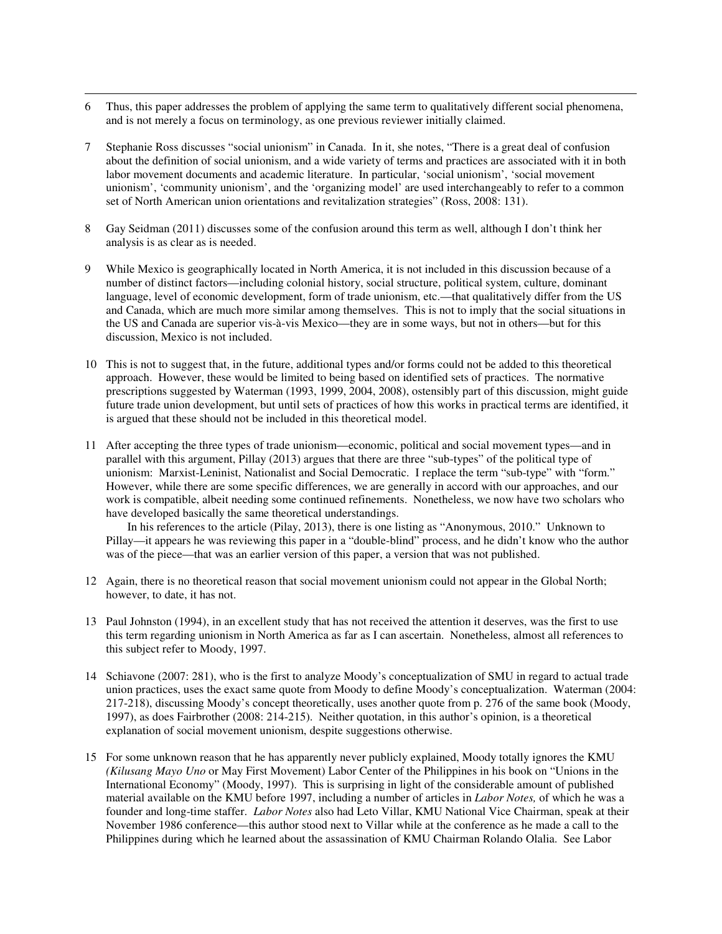- $\overline{a}$ 6 Thus, this paper addresses the problem of applying the same term to qualitatively different social phenomena, and is not merely a focus on terminology, as one previous reviewer initially claimed.
- 7 Stephanie Ross discusses "social unionism" in Canada. In it, she notes, "There is a great deal of confusion about the definition of social unionism, and a wide variety of terms and practices are associated with it in both labor movement documents and academic literature. In particular, 'social unionism', 'social movement unionism', 'community unionism', and the 'organizing model' are used interchangeably to refer to a common set of North American union orientations and revitalization strategies" (Ross, 2008: 131).
- 8 Gay Seidman (2011) discusses some of the confusion around this term as well, although I don't think her analysis is as clear as is needed.
- 9 While Mexico is geographically located in North America, it is not included in this discussion because of a number of distinct factors—including colonial history, social structure, political system, culture, dominant language, level of economic development, form of trade unionism, etc.—that qualitatively differ from the US and Canada, which are much more similar among themselves. This is not to imply that the social situations in the US and Canada are superior vis-à-vis Mexico—they are in some ways, but not in others—but for this discussion, Mexico is not included.
- 10 This is not to suggest that, in the future, additional types and/or forms could not be added to this theoretical approach. However, these would be limited to being based on identified sets of practices. The normative prescriptions suggested by Waterman (1993, 1999, 2004, 2008), ostensibly part of this discussion, might guide future trade union development, but until sets of practices of how this works in practical terms are identified, it is argued that these should not be included in this theoretical model.
- 11 After accepting the three types of trade unionism—economic, political and social movement types—and in parallel with this argument, Pillay (2013) argues that there are three "sub-types" of the political type of unionism: Marxist-Leninist, Nationalist and Social Democratic. I replace the term "sub-type" with "form." However, while there are some specific differences, we are generally in accord with our approaches, and our work is compatible, albeit needing some continued refinements. Nonetheless, we now have two scholars who have developed basically the same theoretical understandings.

 In his references to the article (Pilay, 2013), there is one listing as "Anonymous, 2010." Unknown to Pillay—it appears he was reviewing this paper in a "double-blind" process, and he didn't know who the author was of the piece—that was an earlier version of this paper, a version that was not published.

- 12 Again, there is no theoretical reason that social movement unionism could not appear in the Global North; however, to date, it has not.
- 13 Paul Johnston (1994), in an excellent study that has not received the attention it deserves, was the first to use this term regarding unionism in North America as far as I can ascertain. Nonetheless, almost all references to this subject refer to Moody, 1997.
- 14 Schiavone (2007: 281), who is the first to analyze Moody's conceptualization of SMU in regard to actual trade union practices, uses the exact same quote from Moody to define Moody's conceptualization. Waterman (2004: 217-218), discussing Moody's concept theoretically, uses another quote from p. 276 of the same book (Moody, 1997), as does Fairbrother (2008: 214-215). Neither quotation, in this author's opinion, is a theoretical explanation of social movement unionism, despite suggestions otherwise.
- 15 For some unknown reason that he has apparently never publicly explained, Moody totally ignores the KMU *(Kilusang Mayo Uno* or May First Movement) Labor Center of the Philippines in his book on "Unions in the International Economy" (Moody, 1997). This is surprising in light of the considerable amount of published material available on the KMU before 1997, including a number of articles in *Labor Notes,* of which he was a founder and long-time staffer. *Labor Notes* also had Leto Villar, KMU National Vice Chairman, speak at their November 1986 conference—this author stood next to Villar while at the conference as he made a call to the Philippines during which he learned about the assassination of KMU Chairman Rolando Olalia. See Labor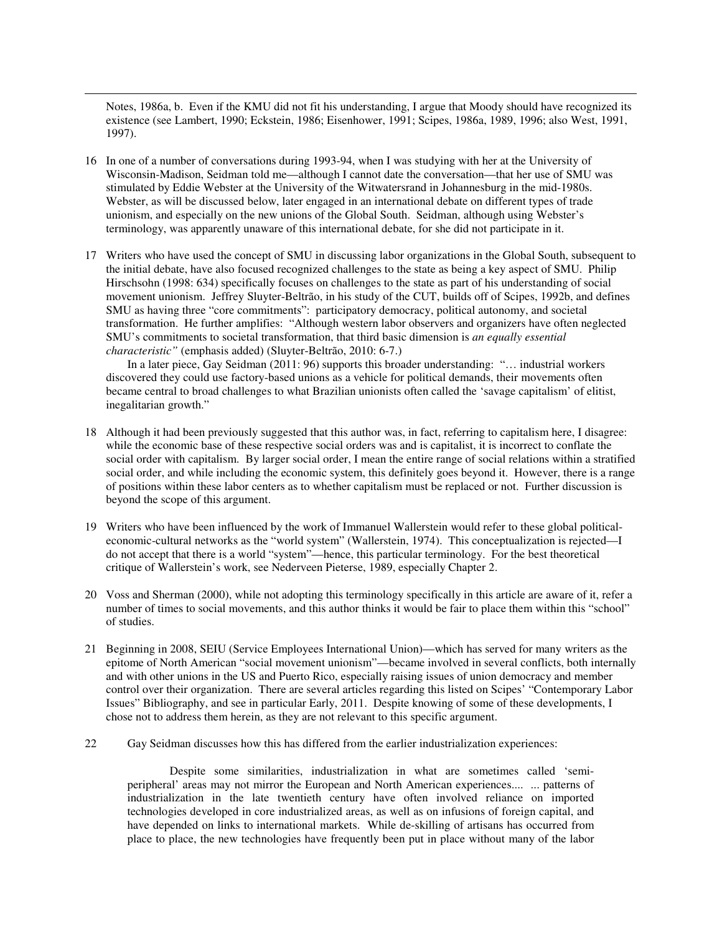Notes, 1986a, b. Even if the KMU did not fit his understanding, I argue that Moody should have recognized its existence (see Lambert, 1990; Eckstein, 1986; Eisenhower, 1991; Scipes, 1986a, 1989, 1996; also West, 1991, 1997).

16 In one of a number of conversations during 1993-94, when I was studying with her at the University of Wisconsin-Madison, Seidman told me—although I cannot date the conversation—that her use of SMU was stimulated by Eddie Webster at the University of the Witwatersrand in Johannesburg in the mid-1980s. Webster, as will be discussed below, later engaged in an international debate on different types of trade unionism, and especially on the new unions of the Global South. Seidman, although using Webster's terminology, was apparently unaware of this international debate, for she did not participate in it.

 $\overline{a}$ 

17 Writers who have used the concept of SMU in discussing labor organizations in the Global South, subsequent to the initial debate, have also focused recognized challenges to the state as being a key aspect of SMU. Philip Hirschsohn (1998: 634) specifically focuses on challenges to the state as part of his understanding of social movement unionism. Jeffrey Sluyter-Beltrão, in his study of the CUT, builds off of Scipes, 1992b, and defines SMU as having three "core commitments": participatory democracy, political autonomy, and societal transformation. He further amplifies: "Although western labor observers and organizers have often neglected SMU's commitments to societal transformation, that third basic dimension is *an equally essential characteristic"* (emphasis added) (Sluyter-Beltrão, 2010: 6-7.)

 In a later piece, Gay Seidman (2011: 96) supports this broader understanding: "… industrial workers discovered they could use factory-based unions as a vehicle for political demands, their movements often became central to broad challenges to what Brazilian unionists often called the 'savage capitalism' of elitist, inegalitarian growth."

- 18 Although it had been previously suggested that this author was, in fact, referring to capitalism here, I disagree: while the economic base of these respective social orders was and is capitalist, it is incorrect to conflate the social order with capitalism. By larger social order, I mean the entire range of social relations within a stratified social order, and while including the economic system, this definitely goes beyond it. However, there is a range of positions within these labor centers as to whether capitalism must be replaced or not. Further discussion is beyond the scope of this argument.
- 19 Writers who have been influenced by the work of Immanuel Wallerstein would refer to these global politicaleconomic-cultural networks as the "world system" (Wallerstein, 1974). This conceptualization is rejected—I do not accept that there is a world "system"—hence, this particular terminology. For the best theoretical critique of Wallerstein's work, see Nederveen Pieterse, 1989, especially Chapter 2.
- 20 Voss and Sherman (2000), while not adopting this terminology specifically in this article are aware of it, refer a number of times to social movements, and this author thinks it would be fair to place them within this "school" of studies.
- 21 Beginning in 2008, SEIU (Service Employees International Union)—which has served for many writers as the epitome of North American "social movement unionism"—became involved in several conflicts, both internally and with other unions in the US and Puerto Rico, especially raising issues of union democracy and member control over their organization. There are several articles regarding this listed on Scipes' "Contemporary Labor Issues" Bibliography, and see in particular Early, 2011. Despite knowing of some of these developments, I chose not to address them herein, as they are not relevant to this specific argument.
- 22 Gay Seidman discusses how this has differed from the earlier industrialization experiences:

Despite some similarities, industrialization in what are sometimes called 'semiperipheral' areas may not mirror the European and North American experiences.... ... patterns of industrialization in the late twentieth century have often involved reliance on imported technologies developed in core industrialized areas, as well as on infusions of foreign capital, and have depended on links to international markets. While de-skilling of artisans has occurred from place to place, the new technologies have frequently been put in place without many of the labor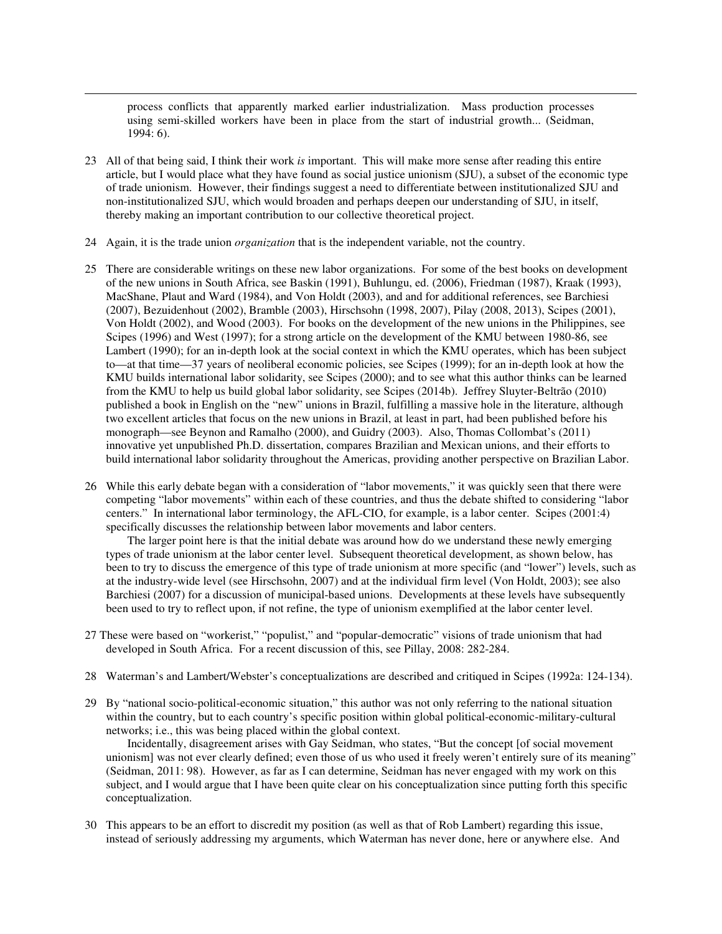process conflicts that apparently marked earlier industrialization. Mass production processes using semi-skilled workers have been in place from the start of industrial growth... (Seidman, 1994: 6).

- 23 All of that being said, I think their work *is* important. This will make more sense after reading this entire article, but I would place what they have found as social justice unionism (SJU), a subset of the economic type of trade unionism. However, their findings suggest a need to differentiate between institutionalized SJU and non-institutionalized SJU, which would broaden and perhaps deepen our understanding of SJU, in itself, thereby making an important contribution to our collective theoretical project.
- 24 Again, it is the trade union *organization* that is the independent variable, not the country.

 $\overline{a}$ 

- 25 There are considerable writings on these new labor organizations. For some of the best books on development of the new unions in South Africa, see Baskin (1991), Buhlungu, ed. (2006), Friedman (1987), Kraak (1993), MacShane, Plaut and Ward (1984), and Von Holdt (2003), and and for additional references, see Barchiesi (2007), Bezuidenhout (2002), Bramble (2003), Hirschsohn (1998, 2007), Pilay (2008, 2013), Scipes (2001), Von Holdt (2002), and Wood (2003). For books on the development of the new unions in the Philippines, see Scipes (1996) and West (1997); for a strong article on the development of the KMU between 1980-86, see Lambert (1990); for an in-depth look at the social context in which the KMU operates, which has been subject to—at that time—37 years of neoliberal economic policies, see Scipes (1999); for an in-depth look at how the KMU builds international labor solidarity, see Scipes (2000); and to see what this author thinks can be learned from the KMU to help us build global labor solidarity, see Scipes (2014b). Jeffrey Sluyter-Beltrão (2010) published a book in English on the "new" unions in Brazil, fulfilling a massive hole in the literature, although two excellent articles that focus on the new unions in Brazil, at least in part, had been published before his monograph—see Beynon and Ramalho (2000), and Guidry (2003). Also, Thomas Collombat's (2011) innovative yet unpublished Ph.D. dissertation, compares Brazilian and Mexican unions, and their efforts to build international labor solidarity throughout the Americas, providing another perspective on Brazilian Labor.
- 26 While this early debate began with a consideration of "labor movements," it was quickly seen that there were competing "labor movements" within each of these countries, and thus the debate shifted to considering "labor centers." In international labor terminology, the AFL-CIO, for example, is a labor center. Scipes (2001:4) specifically discusses the relationship between labor movements and labor centers.

 The larger point here is that the initial debate was around how do we understand these newly emerging types of trade unionism at the labor center level. Subsequent theoretical development, as shown below, has been to try to discuss the emergence of this type of trade unionism at more specific (and "lower") levels, such as at the industry-wide level (see Hirschsohn, 2007) and at the individual firm level (Von Holdt, 2003); see also Barchiesi (2007) for a discussion of municipal-based unions. Developments at these levels have subsequently been used to try to reflect upon, if not refine, the type of unionism exemplified at the labor center level.

- 27 These were based on "workerist," "populist," and "popular-democratic" visions of trade unionism that had developed in South Africa. For a recent discussion of this, see Pillay, 2008: 282-284.
- 28 Waterman's and Lambert/Webster's conceptualizations are described and critiqued in Scipes (1992a: 124-134).
- 29 By "national socio-political-economic situation," this author was not only referring to the national situation within the country, but to each country's specific position within global political-economic-military-cultural networks; i.e., this was being placed within the global context.

 Incidentally, disagreement arises with Gay Seidman, who states, "But the concept [of social movement unionism] was not ever clearly defined; even those of us who used it freely weren't entirely sure of its meaning" (Seidman, 2011: 98). However, as far as I can determine, Seidman has never engaged with my work on this subject, and I would argue that I have been quite clear on his conceptualization since putting forth this specific conceptualization.

30 This appears to be an effort to discredit my position (as well as that of Rob Lambert) regarding this issue, instead of seriously addressing my arguments, which Waterman has never done, here or anywhere else. And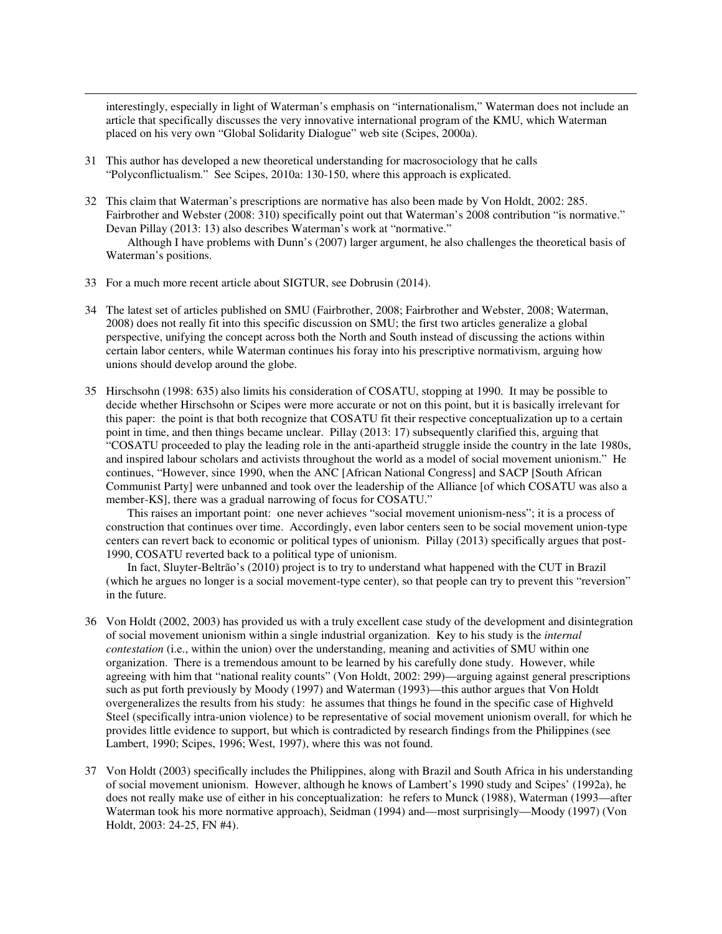interestingly, especially in light of Waterman's emphasis on "internationalism," Waterman does not include an article that specifically discusses the very innovative international program of the KMU, which Waterman placed on his very own "Global Solidarity Dialogue" web site (Scipes, 2000a).

- 31 This author has developed a new theoretical understanding for macrosociology that he calls "Polyconflictualism." See Scipes, 2010a: 130-150, where this approach is explicated.
- 32 This claim that Waterman's prescriptions are normative has also been made by Von Holdt, 2002: 285. Fairbrother and Webster (2008: 310) specifically point out that Waterman's 2008 contribution "is normative." Devan Pillay (2013: 13) also describes Waterman's work at "normative."

 Although I have problems with Dunn's (2007) larger argument, he also challenges the theoretical basis of Waterman's positions.

33 For a much more recent article about SIGTUR, see Dobrusin (2014).

 $\overline{a}$ 

- 34 The latest set of articles published on SMU (Fairbrother, 2008; Fairbrother and Webster, 2008; Waterman, 2008) does not really fit into this specific discussion on SMU; the first two articles generalize a global perspective, unifying the concept across both the North and South instead of discussing the actions within certain labor centers, while Waterman continues his foray into his prescriptive normativism, arguing how unions should develop around the globe.
- 35 Hirschsohn (1998: 635) also limits his consideration of COSATU, stopping at 1990. It may be possible to decide whether Hirschsohn or Scipes were more accurate or not on this point, but it is basically irrelevant for this paper: the point is that both recognize that COSATU fit their respective conceptualization up to a certain point in time, and then things became unclear. Pillay (2013: 17) subsequently clarified this, arguing that "COSATU proceeded to play the leading role in the anti-apartheid struggle inside the country in the late 1980s, and inspired labour scholars and activists throughout the world as a model of social movement unionism." He continues, "However, since 1990, when the ANC [African National Congress] and SACP [South African Communist Party] were unbanned and took over the leadership of the Alliance [of which COSATU was also a member-KS], there was a gradual narrowing of focus for COSATU."

 This raises an important point: one never achieves "social movement unionism-ness"; it is a process of construction that continues over time. Accordingly, even labor centers seen to be social movement union-type centers can revert back to economic or political types of unionism. Pillay (2013) specifically argues that post-1990, COSATU reverted back to a political type of unionism.

 In fact, Sluyter-Beltrão's (2010) project is to try to understand what happened with the CUT in Brazil (which he argues no longer is a social movement-type center), so that people can try to prevent this "reversion" in the future.

- 36 Von Holdt (2002, 2003) has provided us with a truly excellent case study of the development and disintegration of social movement unionism within a single industrial organization. Key to his study is the *internal contestation* (i.e., within the union) over the understanding, meaning and activities of SMU within one organization. There is a tremendous amount to be learned by his carefully done study. However, while agreeing with him that "national reality counts" (Von Holdt, 2002: 299)—arguing against general prescriptions such as put forth previously by Moody (1997) and Waterman (1993)—this author argues that Von Holdt overgeneralizes the results from his study: he assumes that things he found in the specific case of Highveld Steel (specifically intra-union violence) to be representative of social movement unionism overall, for which he provides little evidence to support, but which is contradicted by research findings from the Philippines (see Lambert, 1990; Scipes, 1996; West, 1997), where this was not found.
- 37 Von Holdt (2003) specifically includes the Philippines, along with Brazil and South Africa in his understanding of social movement unionism. However, although he knows of Lambert's 1990 study and Scipes' (1992a), he does not really make use of either in his conceptualization: he refers to Munck (1988), Waterman (1993—after Waterman took his more normative approach), Seidman (1994) and—most surprisingly—Moody (1997) (Von Holdt, 2003: 24-25, FN #4).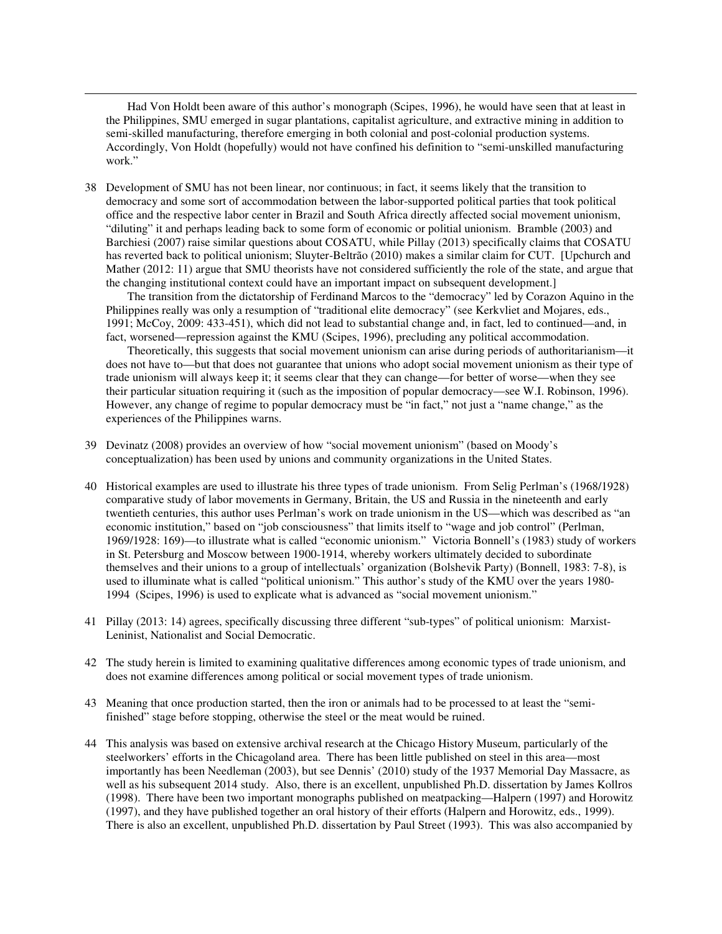Had Von Holdt been aware of this author's monograph (Scipes, 1996), he would have seen that at least in the Philippines, SMU emerged in sugar plantations, capitalist agriculture, and extractive mining in addition to semi-skilled manufacturing, therefore emerging in both colonial and post-colonial production systems. Accordingly, Von Holdt (hopefully) would not have confined his definition to "semi-unskilled manufacturing work."

 $\overline{a}$ 

38 Development of SMU has not been linear, nor continuous; in fact, it seems likely that the transition to democracy and some sort of accommodation between the labor-supported political parties that took political office and the respective labor center in Brazil and South Africa directly affected social movement unionism, "diluting" it and perhaps leading back to some form of economic or politial unionism. Bramble (2003) and Barchiesi (2007) raise similar questions about COSATU, while Pillay (2013) specifically claims that COSATU has reverted back to political unionism; Sluyter-Beltrão (2010) makes a similar claim for CUT. [Upchurch and Mather (2012: 11) argue that SMU theorists have not considered sufficiently the role of the state, and argue that the changing institutional context could have an important impact on subsequent development.]

 The transition from the dictatorship of Ferdinand Marcos to the "democracy" led by Corazon Aquino in the Philippines really was only a resumption of "traditional elite democracy" (see Kerkvliet and Mojares, eds., 1991; McCoy, 2009: 433-451), which did not lead to substantial change and, in fact, led to continued—and, in fact, worsened—repression against the KMU (Scipes, 1996), precluding any political accommodation.

 Theoretically, this suggests that social movement unionism can arise during periods of authoritarianism—it does not have to—but that does not guarantee that unions who adopt social movement unionism as their type of trade unionism will always keep it; it seems clear that they can change—for better of worse—when they see their particular situation requiring it (such as the imposition of popular democracy—see W.I. Robinson, 1996). However, any change of regime to popular democracy must be "in fact," not just a "name change," as the experiences of the Philippines warns.

- 39 Devinatz (2008) provides an overview of how "social movement unionism" (based on Moody's conceptualization) has been used by unions and community organizations in the United States.
- 40 Historical examples are used to illustrate his three types of trade unionism. From Selig Perlman's (1968/1928) comparative study of labor movements in Germany, Britain, the US and Russia in the nineteenth and early twentieth centuries, this author uses Perlman's work on trade unionism in the US—which was described as "an economic institution," based on "job consciousness" that limits itself to "wage and job control" (Perlman, 1969/1928: 169)—to illustrate what is called "economic unionism." Victoria Bonnell's (1983) study of workers in St. Petersburg and Moscow between 1900-1914, whereby workers ultimately decided to subordinate themselves and their unions to a group of intellectuals' organization (Bolshevik Party) (Bonnell, 1983: 7-8), is used to illuminate what is called "political unionism." This author's study of the KMU over the years 1980- 1994 (Scipes, 1996) is used to explicate what is advanced as "social movement unionism."
- 41 Pillay (2013: 14) agrees, specifically discussing three different "sub-types" of political unionism: Marxist-Leninist, Nationalist and Social Democratic.
- 42 The study herein is limited to examining qualitative differences among economic types of trade unionism, and does not examine differences among political or social movement types of trade unionism.
- 43 Meaning that once production started, then the iron or animals had to be processed to at least the "semifinished" stage before stopping, otherwise the steel or the meat would be ruined.
- 44 This analysis was based on extensive archival research at the Chicago History Museum, particularly of the steelworkers' efforts in the Chicagoland area. There has been little published on steel in this area—most importantly has been Needleman (2003), but see Dennis' (2010) study of the 1937 Memorial Day Massacre, as well as his subsequent 2014 study. Also, there is an excellent, unpublished Ph.D. dissertation by James Kollros (1998). There have been two important monographs published on meatpacking—Halpern (1997) and Horowitz (1997), and they have published together an oral history of their efforts (Halpern and Horowitz, eds., 1999). There is also an excellent, unpublished Ph.D. dissertation by Paul Street (1993). This was also accompanied by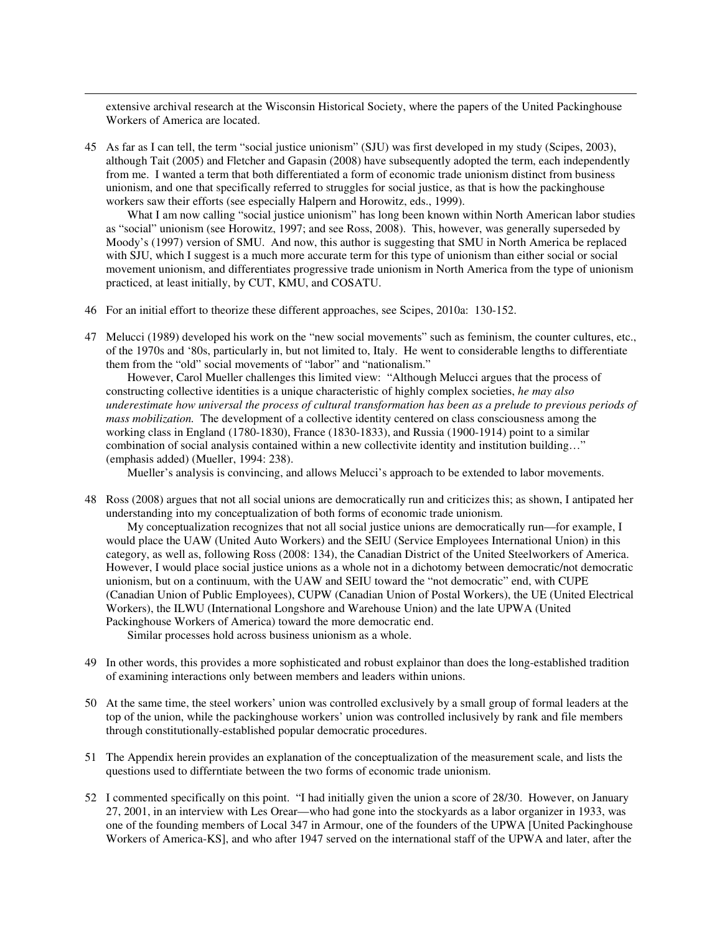extensive archival research at the Wisconsin Historical Society, where the papers of the United Packinghouse Workers of America are located.

45 As far as I can tell, the term "social justice unionism" (SJU) was first developed in my study (Scipes, 2003), although Tait (2005) and Fletcher and Gapasin (2008) have subsequently adopted the term, each independently from me. I wanted a term that both differentiated a form of economic trade unionism distinct from business unionism, and one that specifically referred to struggles for social justice, as that is how the packinghouse workers saw their efforts (see especially Halpern and Horowitz, eds., 1999).

 What I am now calling "social justice unionism" has long been known within North American labor studies as "social" unionism (see Horowitz, 1997; and see Ross, 2008). This, however, was generally superseded by Moody's (1997) version of SMU. And now, this author is suggesting that SMU in North America be replaced with SJU, which I suggest is a much more accurate term for this type of unionism than either social or social movement unionism, and differentiates progressive trade unionism in North America from the type of unionism practiced, at least initially, by CUT, KMU, and COSATU.

46 For an initial effort to theorize these different approaches, see Scipes, 2010a: 130-152.

 $\overline{a}$ 

47 Melucci (1989) developed his work on the "new social movements" such as feminism, the counter cultures, etc., of the 1970s and '80s, particularly in, but not limited to, Italy. He went to considerable lengths to differentiate them from the "old" social movements of "labor" and "nationalism."

 However, Carol Mueller challenges this limited view: "Although Melucci argues that the process of constructing collective identities is a unique characteristic of highly complex societies, *he may also underestimate how universal the process of cultural transformation has been as a prelude to previous periods of mass mobilization.* The development of a collective identity centered on class consciousness among the working class in England (1780-1830), France (1830-1833), and Russia (1900-1914) point to a similar combination of social analysis contained within a new collectivite identity and institution building…" (emphasis added) (Mueller, 1994: 238).

Mueller's analysis is convincing, and allows Melucci's approach to be extended to labor movements.

48 Ross (2008) argues that not all social unions are democratically run and criticizes this; as shown, I antipated her understanding into my conceptualization of both forms of economic trade unionism.

 My conceptualization recognizes that not all social justice unions are democratically run—for example, I would place the UAW (United Auto Workers) and the SEIU (Service Employees International Union) in this category, as well as, following Ross (2008: 134), the Canadian District of the United Steelworkers of America. However, I would place social justice unions as a whole not in a dichotomy between democratic/not democratic unionism, but on a continuum, with the UAW and SEIU toward the "not democratic" end, with CUPE (Canadian Union of Public Employees), CUPW (Canadian Union of Postal Workers), the UE (United Electrical Workers), the ILWU (International Longshore and Warehouse Union) and the late UPWA (United Packinghouse Workers of America) toward the more democratic end. Similar processes hold across business unionism as a whole.

- 49 In other words, this provides a more sophisticated and robust explainor than does the long-established tradition of examining interactions only between members and leaders within unions.
- 50 At the same time, the steel workers' union was controlled exclusively by a small group of formal leaders at the top of the union, while the packinghouse workers' union was controlled inclusively by rank and file members through constitutionally-established popular democratic procedures.
- 51 The Appendix herein provides an explanation of the conceptualization of the measurement scale, and lists the questions used to differntiate between the two forms of economic trade unionism.
- 52 I commented specifically on this point. "I had initially given the union a score of 28/30. However, on January 27, 2001, in an interview with Les Orear—who had gone into the stockyards as a labor organizer in 1933, was one of the founding members of Local 347 in Armour, one of the founders of the UPWA [United Packinghouse Workers of America-KS], and who after 1947 served on the international staff of the UPWA and later, after the